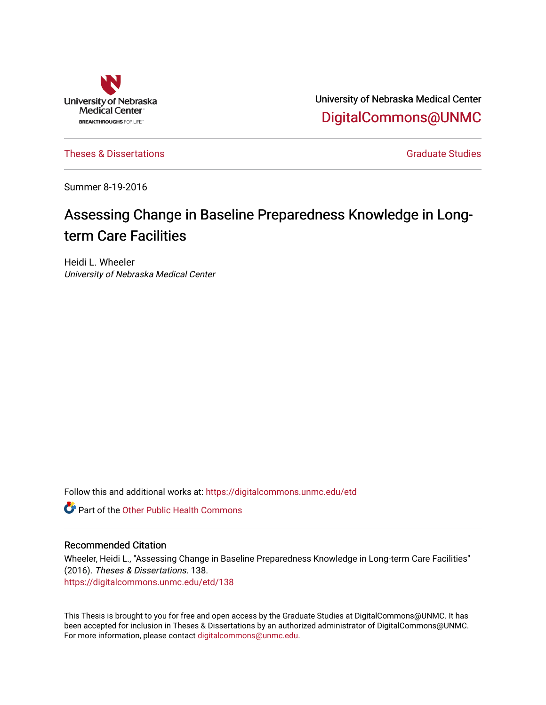

University of Nebraska Medical Center [DigitalCommons@UNMC](https://digitalcommons.unmc.edu/) 

[Theses & Dissertations](https://digitalcommons.unmc.edu/etd) [Graduate Studies](https://digitalcommons.unmc.edu/grad_studies) and Graduate Studies and Graduate Studies of Graduate Studies and Graduate Studies

Summer 8-19-2016

# Assessing Change in Baseline Preparedness Knowledge in Longterm Care Facilities

Heidi L. Wheeler University of Nebraska Medical Center

Follow this and additional works at: [https://digitalcommons.unmc.edu/etd](https://digitalcommons.unmc.edu/etd?utm_source=digitalcommons.unmc.edu%2Fetd%2F138&utm_medium=PDF&utm_campaign=PDFCoverPages)

**C** Part of the Other Public Health Commons

#### Recommended Citation

Wheeler, Heidi L., "Assessing Change in Baseline Preparedness Knowledge in Long-term Care Facilities" (2016). Theses & Dissertations. 138. [https://digitalcommons.unmc.edu/etd/138](https://digitalcommons.unmc.edu/etd/138?utm_source=digitalcommons.unmc.edu%2Fetd%2F138&utm_medium=PDF&utm_campaign=PDFCoverPages)

This Thesis is brought to you for free and open access by the Graduate Studies at DigitalCommons@UNMC. It has been accepted for inclusion in Theses & Dissertations by an authorized administrator of DigitalCommons@UNMC. For more information, please contact [digitalcommons@unmc.edu](mailto:digitalcommons@unmc.edu).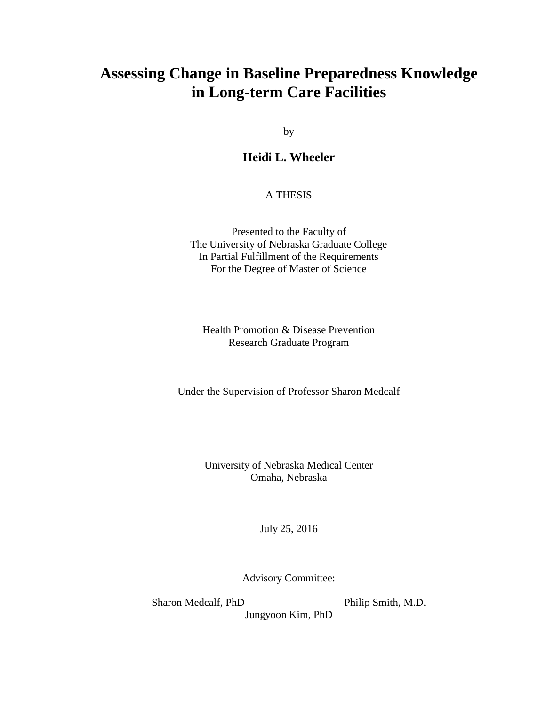# **Assessing Change in Baseline Preparedness Knowledge in Long-term Care Facilities**

by

## **Heidi L. Wheeler**

### A THESIS

Presented to the Faculty of The University of Nebraska Graduate College In Partial Fulfillment of the Requirements For the Degree of Master of Science

Health Promotion & Disease Prevention Research Graduate Program

Under the Supervision of Professor Sharon Medcalf

University of Nebraska Medical Center Omaha, Nebraska

July 25, 2016

Advisory Committee:

Sharon Medcalf, PhD Philip Smith, M.D.

Jungyoon Kim, PhD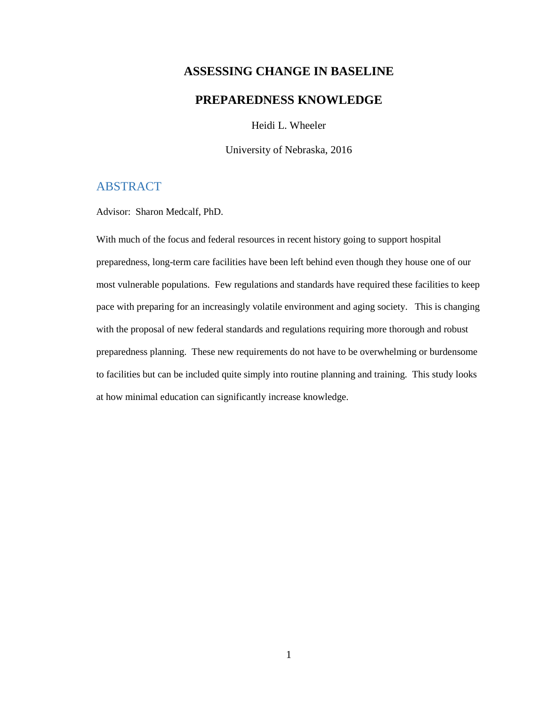## **ASSESSING CHANGE IN BASELINE**

## **PREPAREDNESS KNOWLEDGE**

Heidi L. Wheeler

University of Nebraska, 2016

## <span id="page-2-0"></span>ABSTRACT

Advisor: Sharon Medcalf, PhD.

With much of the focus and federal resources in recent history going to support hospital preparedness, long-term care facilities have been left behind even though they house one of our most vulnerable populations. Few regulations and standards have required these facilities to keep pace with preparing for an increasingly volatile environment and aging society. This is changing with the proposal of new federal standards and regulations requiring more thorough and robust preparedness planning. These new requirements do not have to be overwhelming or burdensome to facilities but can be included quite simply into routine planning and training. This study looks at how minimal education can significantly increase knowledge.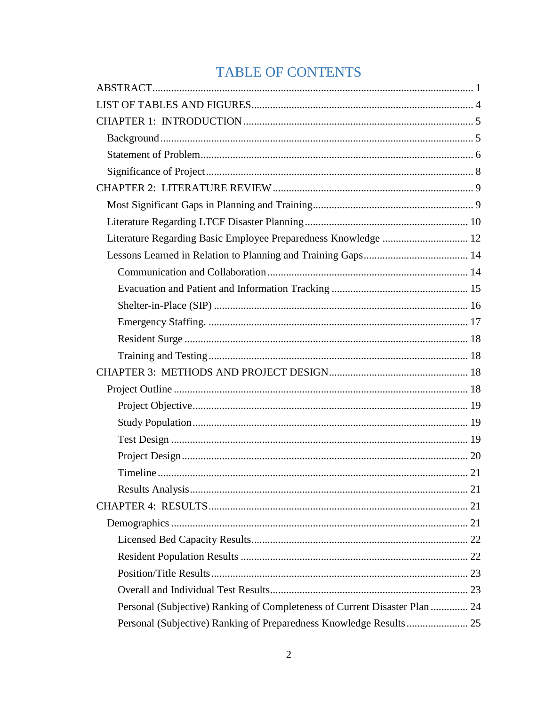# **TABLE OF CONTENTS**

| Personal (Subjective) Ranking of Completeness of Current Disaster Plan  24 |  |
|----------------------------------------------------------------------------|--|
|                                                                            |  |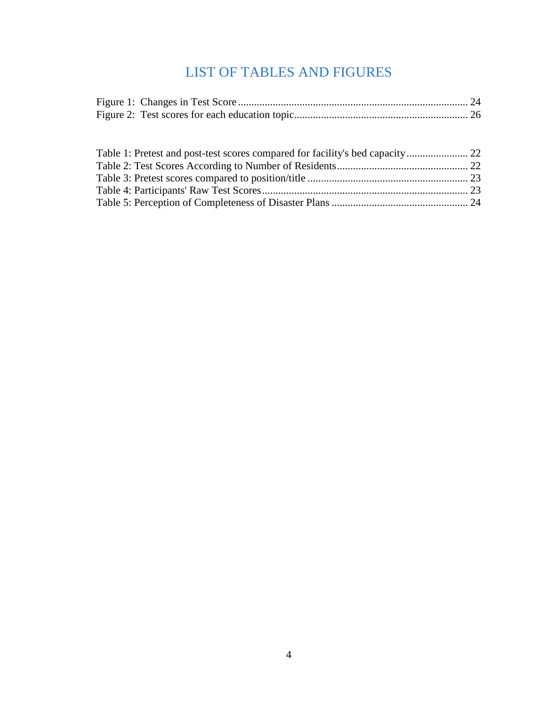# LIST OF TABLES AND FIGURES

<span id="page-5-0"></span>

<span id="page-5-1"></span>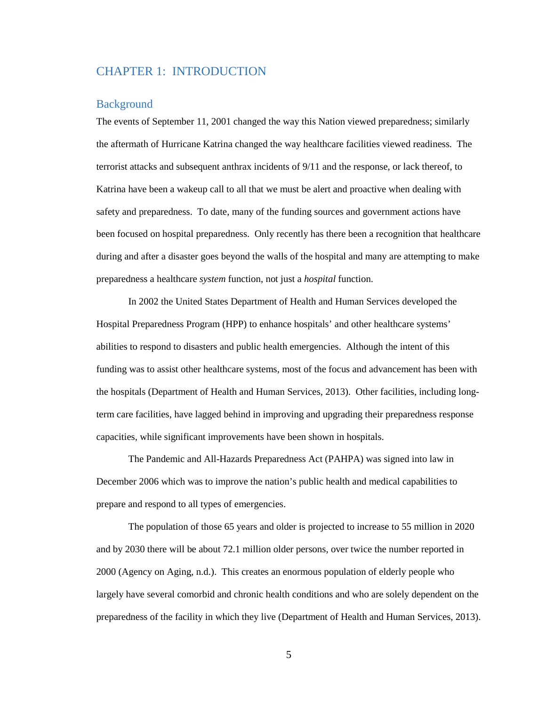## CHAPTER 1: INTRODUCTION

#### <span id="page-6-0"></span>**Background**

The events of September 11, 2001 changed the way this Nation viewed preparedness; similarly the aftermath of Hurricane Katrina changed the way healthcare facilities viewed readiness. The terrorist attacks and subsequent anthrax incidents of 9/11 and the response, or lack thereof, to Katrina have been a wakeup call to all that we must be alert and proactive when dealing with safety and preparedness. To date, many of the funding sources and government actions have been focused on hospital preparedness. Only recently has there been a recognition that healthcare during and after a disaster goes beyond the walls of the hospital and many are attempting to make preparedness a healthcare *system* function, not just a *hospital* function.

In 2002 the United States Department of Health and Human Services developed the Hospital Preparedness Program (HPP) to enhance hospitals' and other healthcare systems' abilities to respond to disasters and public health emergencies. Although the intent of this funding was to assist other healthcare systems, most of the focus and advancement has been with the hospitals (Department of Health and Human Services, 2013). Other facilities, including longterm care facilities, have lagged behind in improving and upgrading their preparedness response capacities, while significant improvements have been shown in hospitals.

The Pandemic and All-Hazards Preparedness Act (PAHPA) was signed into law in December 2006 which was to improve the nation's public health and medical capabilities to prepare and respond to all types of emergencies.

The population of those 65 years and older is projected to increase to 55 million in 2020 and by 2030 there will be about 72.1 million older persons, over twice the number reported in 2000 (Agency on Aging, n.d.). This creates an enormous population of elderly people who largely have several comorbid and chronic health conditions and who are solely dependent on the preparedness of the facility in which they live (Department of Health and Human Services, 2013).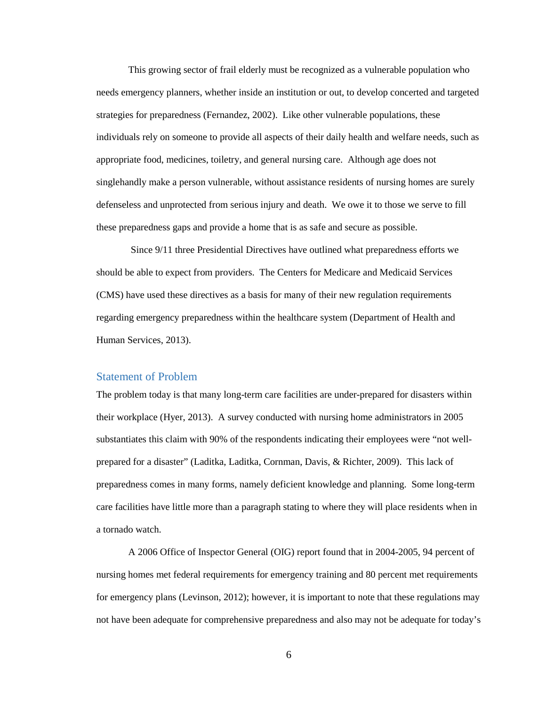This growing sector of frail elderly must be recognized as a vulnerable population who needs emergency planners, whether inside an institution or out, to develop concerted and targeted strategies for preparedness (Fernandez, 2002). Like other vulnerable populations, these individuals rely on someone to provide all aspects of their daily health and welfare needs, such as appropriate food, medicines, toiletry, and general nursing care. Although age does not singlehandly make a person vulnerable, without assistance residents of nursing homes are surely defenseless and unprotected from serious injury and death. We owe it to those we serve to fill these preparedness gaps and provide a home that is as safe and secure as possible.

Since 9/11 three Presidential Directives have outlined what preparedness efforts we should be able to expect from providers. The Centers for Medicare and Medicaid Services (CMS) have used these directives as a basis for many of their new regulation requirements regarding emergency preparedness within the healthcare system (Department of Health and Human Services, 2013).

### <span id="page-7-0"></span>Statement of Problem

The problem today is that many long-term care facilities are under-prepared for disasters within their workplace (Hyer, 2013). A survey conducted with nursing home administrators in 2005 substantiates this claim with 90% of the respondents indicating their employees were "not wellprepared for a disaster" (Laditka, Laditka, Cornman, Davis, & Richter, 2009). This lack of preparedness comes in many forms, namely deficient knowledge and planning. Some long-term care facilities have little more than a paragraph stating to where they will place residents when in a tornado watch.

A 2006 Office of Inspector General (OIG) report found that in 2004-2005, 94 percent of nursing homes met federal requirements for emergency training and 80 percent met requirements for emergency plans (Levinson, 2012); however, it is important to note that these regulations may not have been adequate for comprehensive preparedness and also may not be adequate for today's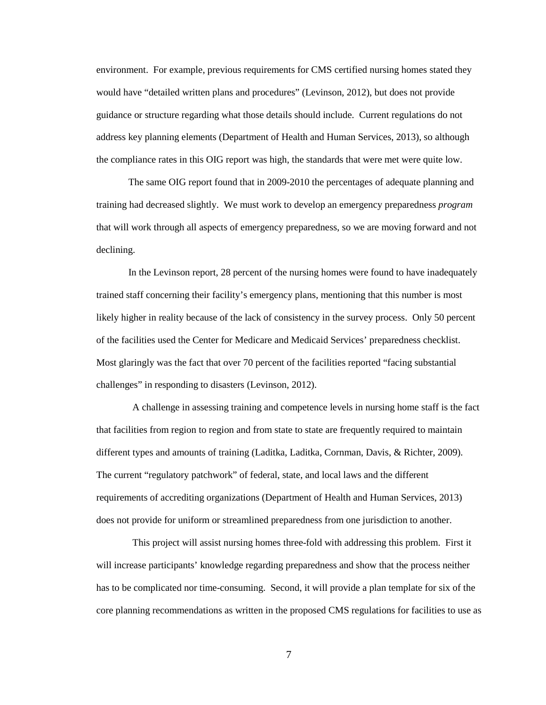environment. For example, previous requirements for CMS certified nursing homes stated they would have "detailed written plans and procedures" (Levinson, 2012), but does not provide guidance or structure regarding what those details should include. Current regulations do not address key planning elements (Department of Health and Human Services, 2013), so although the compliance rates in this OIG report was high, the standards that were met were quite low.

The same OIG report found that in 2009-2010 the percentages of adequate planning and training had decreased slightly. We must work to develop an emergency preparedness *program* that will work through all aspects of emergency preparedness, so we are moving forward and not declining.

In the Levinson report, 28 percent of the nursing homes were found to have inadequately trained staff concerning their facility's emergency plans, mentioning that this number is most likely higher in reality because of the lack of consistency in the survey process. Only 50 percent of the facilities used the Center for Medicare and Medicaid Services' preparedness checklist. Most glaringly was the fact that over 70 percent of the facilities reported "facing substantial challenges" in responding to disasters (Levinson, 2012).

A challenge in assessing training and competence levels in nursing home staff is the fact that facilities from region to region and from state to state are frequently required to maintain different types and amounts of training (Laditka, Laditka, Cornman, Davis, & Richter, 2009). The current "regulatory patchwork" of federal, state, and local laws and the different requirements of accrediting organizations (Department of Health and Human Services, 2013) does not provide for uniform or streamlined preparedness from one jurisdiction to another.

This project will assist nursing homes three-fold with addressing this problem. First it will increase participants' knowledge regarding preparedness and show that the process neither has to be complicated nor time-consuming. Second, it will provide a plan template for six of the core planning recommendations as written in the proposed CMS regulations for facilities to use as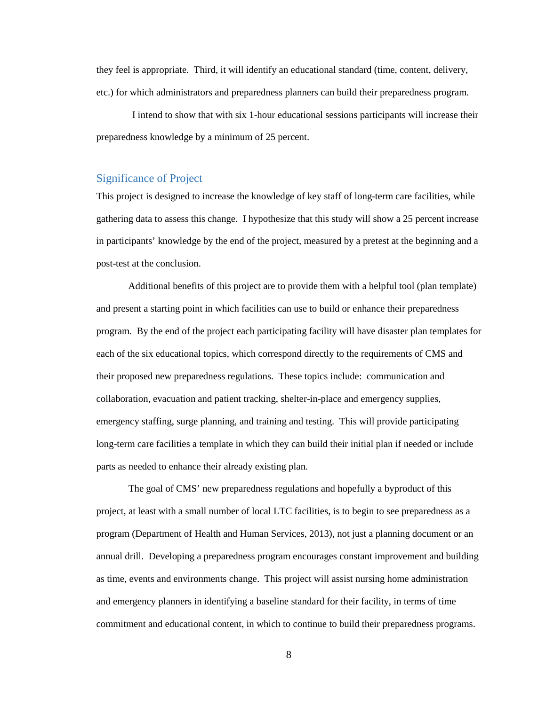they feel is appropriate. Third, it will identify an educational standard (time, content, delivery, etc.) for which administrators and preparedness planners can build their preparedness program.

I intend to show that with six 1-hour educational sessions participants will increase their preparedness knowledge by a minimum of 25 percent.

### <span id="page-9-0"></span>Significance of Project

This project is designed to increase the knowledge of key staff of long-term care facilities, while gathering data to assess this change. I hypothesize that this study will show a 25 percent increase in participants' knowledge by the end of the project, measured by a pretest at the beginning and a post-test at the conclusion.

Additional benefits of this project are to provide them with a helpful tool (plan template) and present a starting point in which facilities can use to build or enhance their preparedness program. By the end of the project each participating facility will have disaster plan templates for each of the six educational topics, which correspond directly to the requirements of CMS and their proposed new preparedness regulations. These topics include: communication and collaboration, evacuation and patient tracking, shelter-in-place and emergency supplies, emergency staffing, surge planning, and training and testing. This will provide participating long-term care facilities a template in which they can build their initial plan if needed or include parts as needed to enhance their already existing plan.

The goal of CMS' new preparedness regulations and hopefully a byproduct of this project, at least with a small number of local LTC facilities, is to begin to see preparedness as a program (Department of Health and Human Services, 2013), not just a planning document or an annual drill. Developing a preparedness program encourages constant improvement and building as time, events and environments change. This project will assist nursing home administration and emergency planners in identifying a baseline standard for their facility, in terms of time commitment and educational content, in which to continue to build their preparedness programs.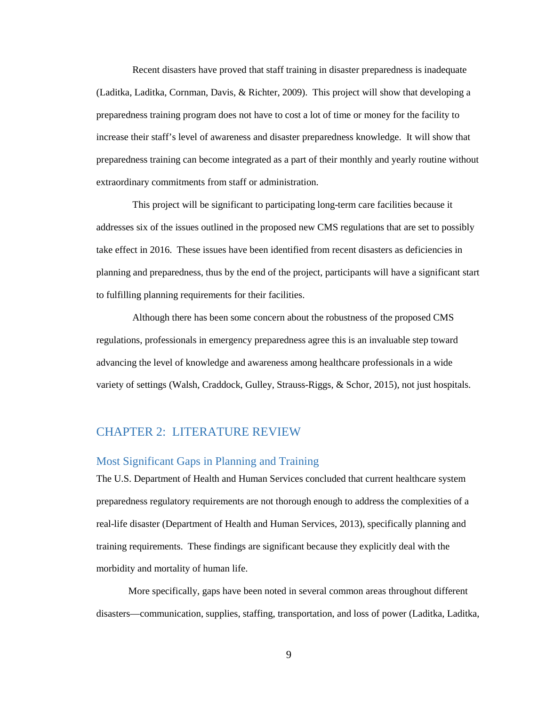Recent disasters have proved that staff training in disaster preparedness is inadequate (Laditka, Laditka, Cornman, Davis, & Richter, 2009). This project will show that developing a preparedness training program does not have to cost a lot of time or money for the facility to increase their staff's level of awareness and disaster preparedness knowledge. It will show that preparedness training can become integrated as a part of their monthly and yearly routine without extraordinary commitments from staff or administration.

This project will be significant to participating long-term care facilities because it addresses six of the issues outlined in the proposed new CMS regulations that are set to possibly take effect in 2016. These issues have been identified from recent disasters as deficiencies in planning and preparedness, thus by the end of the project, participants will have a significant start to fulfilling planning requirements for their facilities.

Although there has been some concern about the robustness of the proposed CMS regulations, professionals in emergency preparedness agree this is an invaluable step toward advancing the level of knowledge and awareness among healthcare professionals in a wide variety of settings (Walsh, Craddock, Gulley, Strauss-Riggs, & Schor, 2015), not just hospitals.

## <span id="page-10-0"></span>CHAPTER 2: LITERATURE REVIEW

### <span id="page-10-1"></span>Most Significant Gaps in Planning and Training

The U.S. Department of Health and Human Services concluded that current healthcare system preparedness regulatory requirements are not thorough enough to address the complexities of a real-life disaster (Department of Health and Human Services, 2013), specifically planning and training requirements. These findings are significant because they explicitly deal with the morbidity and mortality of human life.

More specifically, gaps have been noted in several common areas throughout different disasters—communication, supplies, staffing, transportation, and loss of power (Laditka, Laditka,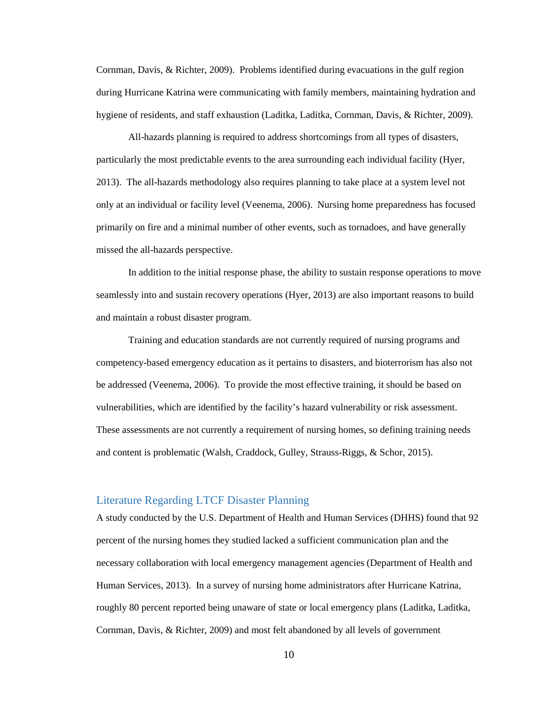Cornman, Davis, & Richter, 2009). Problems identified during evacuations in the gulf region during Hurricane Katrina were communicating with family members, maintaining hydration and hygiene of residents, and staff exhaustion (Laditka, Laditka, Cornman, Davis, & Richter, 2009).

All-hazards planning is required to address shortcomings from all types of disasters, particularly the most predictable events to the area surrounding each individual facility (Hyer, 2013). The all-hazards methodology also requires planning to take place at a system level not only at an individual or facility level (Veenema, 2006). Nursing home preparedness has focused primarily on fire and a minimal number of other events, such as tornadoes, and have generally missed the all-hazards perspective.

In addition to the initial response phase, the ability to sustain response operations to move seamlessly into and sustain recovery operations (Hyer, 2013) are also important reasons to build and maintain a robust disaster program.

Training and education standards are not currently required of nursing programs and competency-based emergency education as it pertains to disasters, and bioterrorism has also not be addressed (Veenema, 2006). To provide the most effective training, it should be based on vulnerabilities, which are identified by the facility's hazard vulnerability or risk assessment. These assessments are not currently a requirement of nursing homes, so defining training needs and content is problematic (Walsh, Craddock, Gulley, Strauss-Riggs, & Schor, 2015).

## <span id="page-11-0"></span>Literature Regarding LTCF Disaster Planning

A study conducted by the U.S. Department of Health and Human Services (DHHS) found that 92 percent of the nursing homes they studied lacked a sufficient communication plan and the necessary collaboration with local emergency management agencies (Department of Health and Human Services, 2013). In a survey of nursing home administrators after Hurricane Katrina, roughly 80 percent reported being unaware of state or local emergency plans (Laditka, Laditka, Cornman, Davis, & Richter, 2009) and most felt abandoned by all levels of government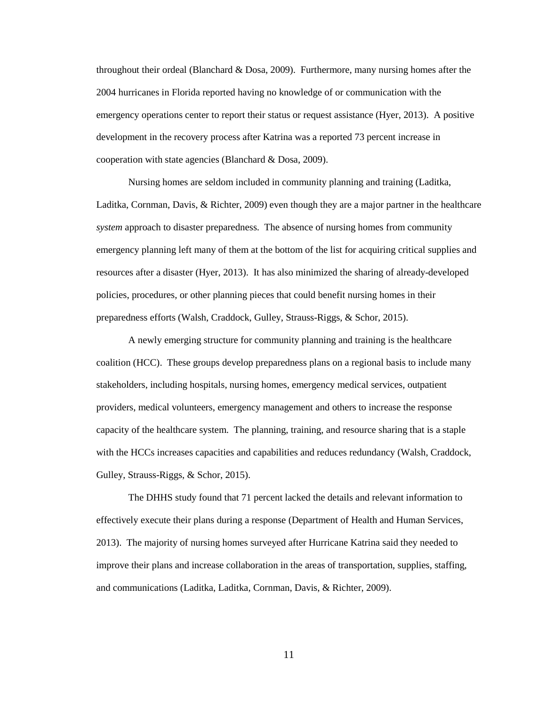throughout their ordeal (Blanchard & Dosa, 2009). Furthermore, many nursing homes after the 2004 hurricanes in Florida reported having no knowledge of or communication with the emergency operations center to report their status or request assistance (Hyer, 2013). A positive development in the recovery process after Katrina was a reported 73 percent increase in cooperation with state agencies (Blanchard & Dosa, 2009).

Nursing homes are seldom included in community planning and training (Laditka, Laditka, Cornman, Davis, & Richter, 2009) even though they are a major partner in the healthcare *system* approach to disaster preparedness. The absence of nursing homes from community emergency planning left many of them at the bottom of the list for acquiring critical supplies and resources after a disaster (Hyer, 2013). It has also minimized the sharing of already-developed policies, procedures, or other planning pieces that could benefit nursing homes in their preparedness efforts (Walsh, Craddock, Gulley, Strauss-Riggs, & Schor, 2015).

A newly emerging structure for community planning and training is the healthcare coalition (HCC). These groups develop preparedness plans on a regional basis to include many stakeholders, including hospitals, nursing homes, emergency medical services, outpatient providers, medical volunteers, emergency management and others to increase the response capacity of the healthcare system. The planning, training, and resource sharing that is a staple with the HCCs increases capacities and capabilities and reduces redundancy (Walsh, Craddock, Gulley, Strauss-Riggs, & Schor, 2015).

The DHHS study found that 71 percent lacked the details and relevant information to effectively execute their plans during a response (Department of Health and Human Services, 2013). The majority of nursing homes surveyed after Hurricane Katrina said they needed to improve their plans and increase collaboration in the areas of transportation, supplies, staffing, and communications (Laditka, Laditka, Cornman, Davis, & Richter, 2009).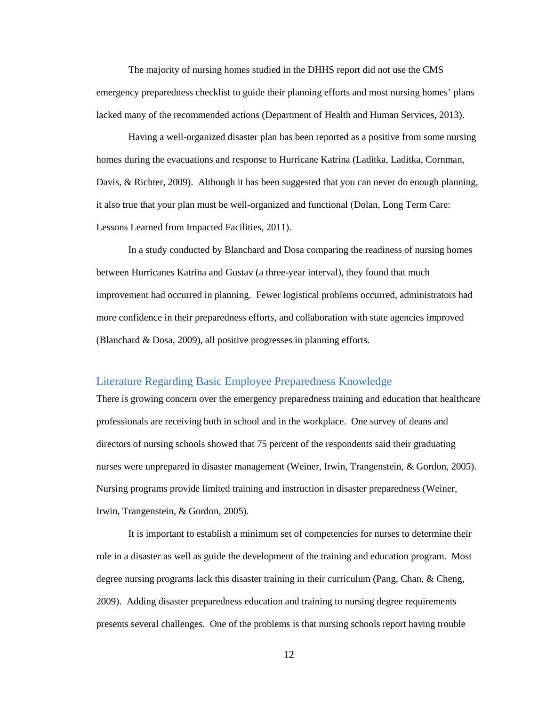The majority of nursing homes studied in the DHHS report did not use the CMS emergency preparedness checklist to guide their planning efforts and most nursing homes' plans lacked many of the recommended actions (Department of Health and Human Services, 2013).

Having a well-organized disaster plan has been reported as a positive from some nursing homes during the evacuations and response to Hurricane Katrina (Laditka, Laditka, Cornman, Davis, & Richter, 2009). Although it has been suggested that you can never do enough planning, it also true that your plan must be well-organized and functional (Dolan, Long Term Care: Lessons Learned from Impacted Facilities, 2011).

In a study conducted by Blanchard and Dosa comparing the readiness of nursing homes between Hurricanes Katrina and Gustav (a three-year interval), they found that much improvement had occurred in planning. Fewer logistical problems occurred, administrators had more confidence in their preparedness efforts, and collaboration with state agencies improved (Blanchard & Dosa, 2009), all positive progresses in planning efforts.

## <span id="page-13-0"></span>Literature Regarding Basic Employee Preparedness Knowledge

There is growing concern over the emergency preparedness training and education that healthcare professionals are receiving both in school and in the workplace. One survey of deans and directors of nursing schools showed that 75 percent of the respondents said their graduating nurses were unprepared in disaster management (Weiner, Irwin, Trangenstein, & Gordon, 2005). Nursing programs provide limited training and instruction in disaster preparedness (Weiner, Irwin, Trangenstein, & Gordon, 2005).

It is important to establish a minimum set of competencies for nurses to determine their role in a disaster as well as guide the development of the training and education program. Most degree nursing programs lack this disaster training in their curriculum (Pang, Chan, & Cheng, 2009). Adding disaster preparedness education and training to nursing degree requirements presents several challenges. One of the problems is that nursing schools report having trouble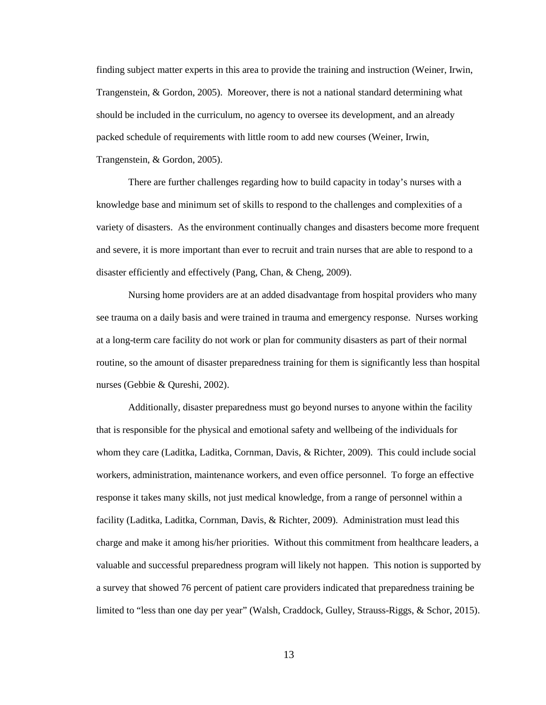finding subject matter experts in this area to provide the training and instruction (Weiner, Irwin, Trangenstein, & Gordon, 2005). Moreover, there is not a national standard determining what should be included in the curriculum, no agency to oversee its development, and an already packed schedule of requirements with little room to add new courses (Weiner, Irwin, Trangenstein, & Gordon, 2005).

There are further challenges regarding how to build capacity in today's nurses with a knowledge base and minimum set of skills to respond to the challenges and complexities of a variety of disasters. As the environment continually changes and disasters become more frequent and severe, it is more important than ever to recruit and train nurses that are able to respond to a disaster efficiently and effectively (Pang, Chan, & Cheng, 2009).

Nursing home providers are at an added disadvantage from hospital providers who many see trauma on a daily basis and were trained in trauma and emergency response. Nurses working at a long-term care facility do not work or plan for community disasters as part of their normal routine, so the amount of disaster preparedness training for them is significantly less than hospital nurses (Gebbie & Qureshi, 2002).

Additionally, disaster preparedness must go beyond nurses to anyone within the facility that is responsible for the physical and emotional safety and wellbeing of the individuals for whom they care (Laditka, Laditka, Cornman, Davis, & Richter, 2009). This could include social workers, administration, maintenance workers, and even office personnel. To forge an effective response it takes many skills, not just medical knowledge, from a range of personnel within a facility (Laditka, Laditka, Cornman, Davis, & Richter, 2009). Administration must lead this charge and make it among his/her priorities. Without this commitment from healthcare leaders, a valuable and successful preparedness program will likely not happen. This notion is supported by a survey that showed 76 percent of patient care providers indicated that preparedness training be limited to "less than one day per year" (Walsh, Craddock, Gulley, Strauss-Riggs, & Schor, 2015).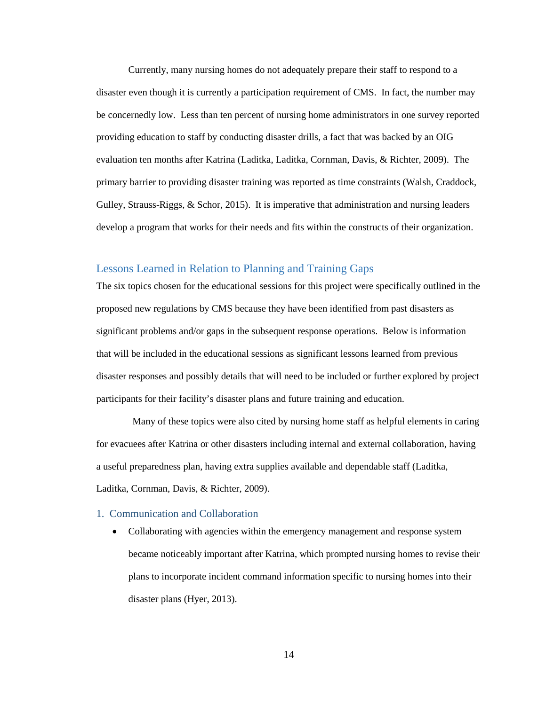Currently, many nursing homes do not adequately prepare their staff to respond to a disaster even though it is currently a participation requirement of CMS. In fact, the number may be concernedly low. Less than ten percent of nursing home administrators in one survey reported providing education to staff by conducting disaster drills, a fact that was backed by an OIG evaluation ten months after Katrina (Laditka, Laditka, Cornman, Davis, & Richter, 2009). The primary barrier to providing disaster training was reported as time constraints (Walsh, Craddock, Gulley, Strauss-Riggs, & Schor, 2015). It is imperative that administration and nursing leaders develop a program that works for their needs and fits within the constructs of their organization.

#### <span id="page-15-0"></span>Lessons Learned in Relation to Planning and Training Gaps

The six topics chosen for the educational sessions for this project were specifically outlined in the proposed new regulations by CMS because they have been identified from past disasters as significant problems and/or gaps in the subsequent response operations. Below is information that will be included in the educational sessions as significant lessons learned from previous disaster responses and possibly details that will need to be included or further explored by project participants for their facility's disaster plans and future training and education.

Many of these topics were also cited by nursing home staff as helpful elements in caring for evacuees after Katrina or other disasters including internal and external collaboration, having a useful preparedness plan, having extra supplies available and dependable staff (Laditka, Laditka, Cornman, Davis, & Richter, 2009).

#### <span id="page-15-1"></span>1. Communication and Collaboration

• Collaborating with agencies within the emergency management and response system became noticeably important after Katrina, which prompted nursing homes to revise their plans to incorporate incident command information specific to nursing homes into their disaster plans (Hyer, 2013).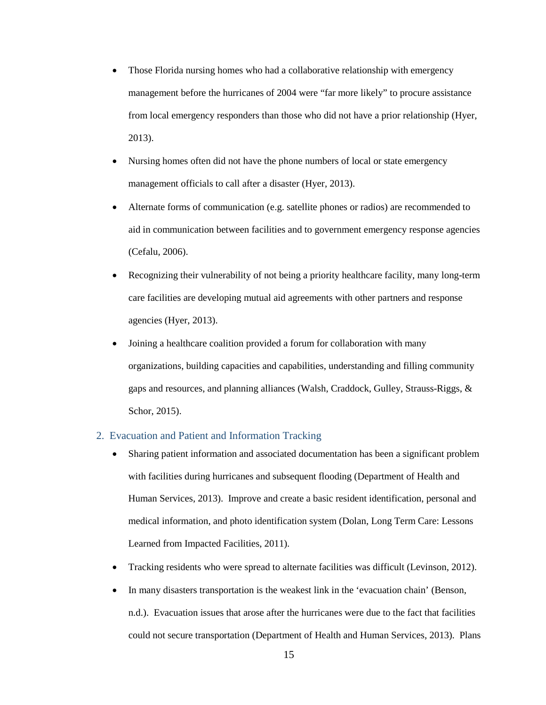- Those Florida nursing homes who had a collaborative relationship with emergency management before the hurricanes of 2004 were "far more likely" to procure assistance from local emergency responders than those who did not have a prior relationship (Hyer, 2013).
- Nursing homes often did not have the phone numbers of local or state emergency management officials to call after a disaster (Hyer, 2013).
- Alternate forms of communication (e.g. satellite phones or radios) are recommended to aid in communication between facilities and to government emergency response agencies (Cefalu, 2006).
- Recognizing their vulnerability of not being a priority healthcare facility, many long-term care facilities are developing mutual aid agreements with other partners and response agencies (Hyer, 2013).
- Joining a healthcare coalition provided a forum for collaboration with many organizations, building capacities and capabilities, understanding and filling community gaps and resources, and planning alliances (Walsh, Craddock, Gulley, Strauss-Riggs, & Schor, 2015).

## <span id="page-16-0"></span>2. Evacuation and Patient and Information Tracking

- Sharing patient information and associated documentation has been a significant problem with facilities during hurricanes and subsequent flooding (Department of Health and Human Services, 2013). Improve and create a basic resident identification, personal and medical information, and photo identification system (Dolan, Long Term Care: Lessons Learned from Impacted Facilities, 2011).
- Tracking residents who were spread to alternate facilities was difficult (Levinson, 2012).
- In many disasters transportation is the weakest link in the 'evacuation chain' (Benson, n.d.). Evacuation issues that arose after the hurricanes were due to the fact that facilities could not secure transportation (Department of Health and Human Services, 2013). Plans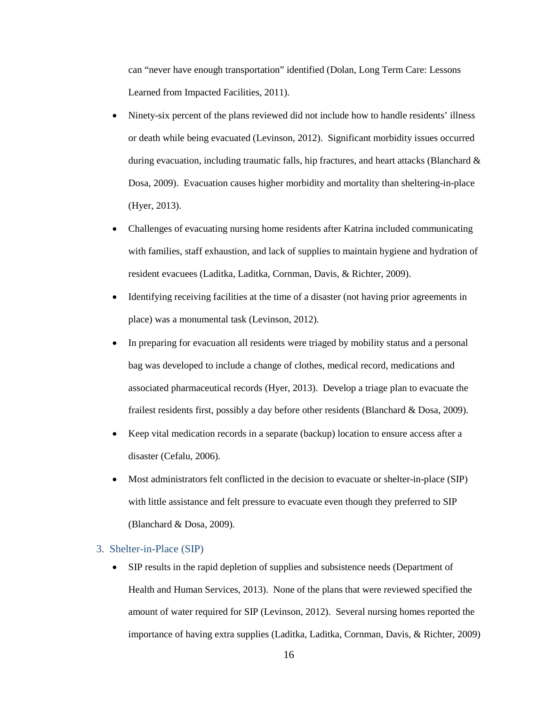can "never have enough transportation" identified (Dolan, Long Term Care: Lessons Learned from Impacted Facilities, 2011).

- Ninety-six percent of the plans reviewed did not include how to handle residents' illness or death while being evacuated (Levinson, 2012). Significant morbidity issues occurred during evacuation, including traumatic falls, hip fractures, and heart attacks (Blanchard & Dosa, 2009). Evacuation causes higher morbidity and mortality than sheltering-in-place (Hyer, 2013).
- Challenges of evacuating nursing home residents after Katrina included communicating with families, staff exhaustion, and lack of supplies to maintain hygiene and hydration of resident evacuees (Laditka, Laditka, Cornman, Davis, & Richter, 2009).
- Identifying receiving facilities at the time of a disaster (not having prior agreements in place) was a monumental task (Levinson, 2012).
- In preparing for evacuation all residents were triaged by mobility status and a personal bag was developed to include a change of clothes, medical record, medications and associated pharmaceutical records (Hyer, 2013). Develop a triage plan to evacuate the frailest residents first, possibly a day before other residents (Blanchard & Dosa, 2009).
- Keep vital medication records in a separate (backup) location to ensure access after a disaster (Cefalu, 2006).
- Most administrators felt conflicted in the decision to evacuate or shelter-in-place (SIP) with little assistance and felt pressure to evacuate even though they preferred to SIP (Blanchard & Dosa, 2009).

#### <span id="page-17-0"></span>3. Shelter-in-Place (SIP)

• SIP results in the rapid depletion of supplies and subsistence needs (Department of Health and Human Services, 2013). None of the plans that were reviewed specified the amount of water required for SIP (Levinson, 2012). Several nursing homes reported the importance of having extra supplies (Laditka, Laditka, Cornman, Davis, & Richter, 2009)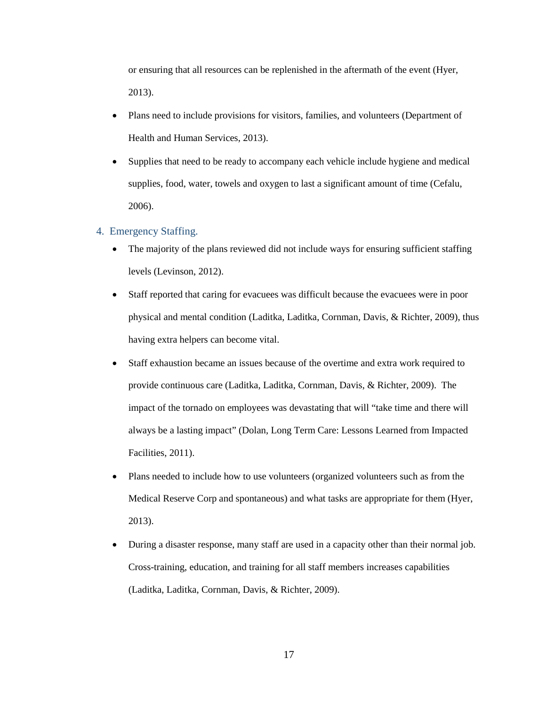or ensuring that all resources can be replenished in the aftermath of the event (Hyer, 2013).

- Plans need to include provisions for visitors, families, and volunteers (Department of Health and Human Services, 2013).
- Supplies that need to be ready to accompany each vehicle include hygiene and medical supplies, food, water, towels and oxygen to last a significant amount of time (Cefalu, 2006).
- <span id="page-18-0"></span>4. Emergency Staffing.
	- The majority of the plans reviewed did not include ways for ensuring sufficient staffing levels (Levinson, 2012).
	- Staff reported that caring for evacuees was difficult because the evacuees were in poor physical and mental condition (Laditka, Laditka, Cornman, Davis, & Richter, 2009), thus having extra helpers can become vital.
	- Staff exhaustion became an issues because of the overtime and extra work required to provide continuous care (Laditka, Laditka, Cornman, Davis, & Richter, 2009). The impact of the tornado on employees was devastating that will "take time and there will always be a lasting impact" (Dolan, Long Term Care: Lessons Learned from Impacted Facilities, 2011).
	- Plans needed to include how to use volunteers (organized volunteers such as from the Medical Reserve Corp and spontaneous) and what tasks are appropriate for them (Hyer, 2013).
	- During a disaster response, many staff are used in a capacity other than their normal job. Cross-training, education, and training for all staff members increases capabilities (Laditka, Laditka, Cornman, Davis, & Richter, 2009).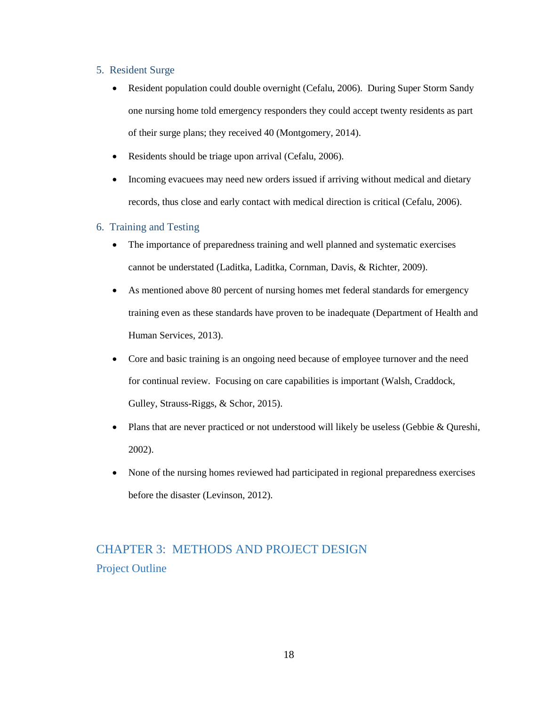#### <span id="page-19-0"></span>5. Resident Surge

- Resident population could double overnight (Cefalu, 2006). During Super Storm Sandy one nursing home told emergency responders they could accept twenty residents as part of their surge plans; they received 40 (Montgomery, 2014).
- Residents should be triage upon arrival (Cefalu, 2006).
- Incoming evacuees may need new orders issued if arriving without medical and dietary records, thus close and early contact with medical direction is critical (Cefalu, 2006).

#### <span id="page-19-1"></span>6. Training and Testing

- The importance of preparedness training and well planned and systematic exercises cannot be understated (Laditka, Laditka, Cornman, Davis, & Richter, 2009).
- As mentioned above 80 percent of nursing homes met federal standards for emergency training even as these standards have proven to be inadequate (Department of Health and Human Services, 2013).
- Core and basic training is an ongoing need because of employee turnover and the need for continual review. Focusing on care capabilities is important (Walsh, Craddock, Gulley, Strauss-Riggs, & Schor, 2015).
- Plans that are never practiced or not understood will likely be useless (Gebbie & Oureshi, 2002).
- None of the nursing homes reviewed had participated in regional preparedness exercises before the disaster (Levinson, 2012).

# <span id="page-19-3"></span><span id="page-19-2"></span>CHAPTER 3: METHODS AND PROJECT DESIGN Project Outline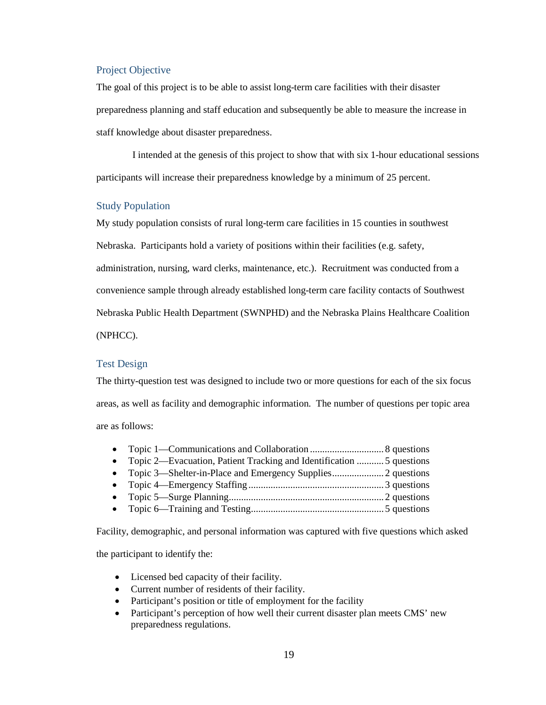#### <span id="page-20-0"></span>Project Objective

The goal of this project is to be able to assist long-term care facilities with their disaster preparedness planning and staff education and subsequently be able to measure the increase in staff knowledge about disaster preparedness.

I intended at the genesis of this project to show that with six 1-hour educational sessions participants will increase their preparedness knowledge by a minimum of 25 percent.

#### <span id="page-20-1"></span>Study Population

My study population consists of rural long-term care facilities in 15 counties in southwest

Nebraska. Participants hold a variety of positions within their facilities (e.g. safety,

administration, nursing, ward clerks, maintenance, etc.). Recruitment was conducted from a

convenience sample through already established long-term care facility contacts of Southwest

Nebraska Public Health Department (SWNPHD) and the Nebraska Plains Healthcare Coalition

(NPHCC).

#### <span id="page-20-2"></span>Test Design

The thirty-question test was designed to include two or more questions for each of the six focus areas, as well as facility and demographic information. The number of questions per topic area are as follows:

| • Topic 2—Evacuation, Patient Tracking and Identification  5 questions |  |
|------------------------------------------------------------------------|--|
|                                                                        |  |
|                                                                        |  |
|                                                                        |  |
|                                                                        |  |
|                                                                        |  |

Facility, demographic, and personal information was captured with five questions which asked the participant to identify the:

- Licensed bed capacity of their facility.
- Current number of residents of their facility.
- Participant's position or title of employment for the facility
- Participant's perception of how well their current disaster plan meets CMS' new preparedness regulations.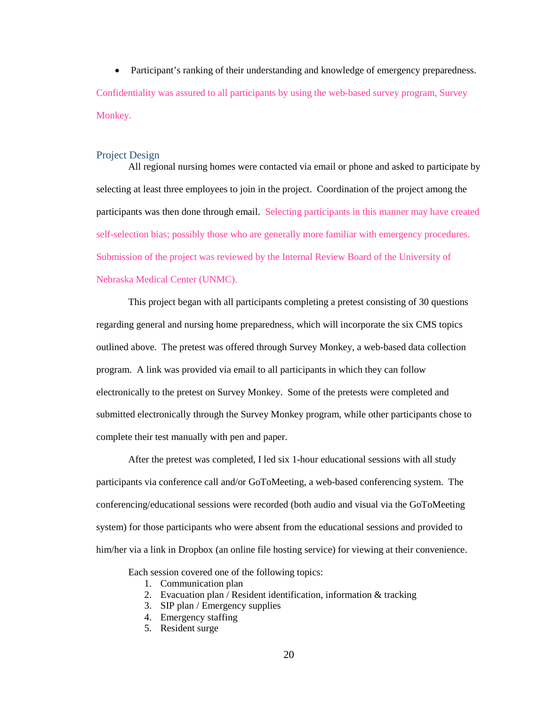• Participant's ranking of their understanding and knowledge of emergency preparedness. Confidentiality was assured to all participants by using the web-based survey program, Survey Monkey.

#### <span id="page-21-0"></span>Project Design

All regional nursing homes were contacted via email or phone and asked to participate by selecting at least three employees to join in the project. Coordination of the project among the participants was then done through email. Selecting participants in this manner may have created self-selection bias; possibly those who are generally more familiar with emergency procedures. Submission of the project was reviewed by the Internal Review Board of the University of Nebraska Medical Center (UNMC).

This project began with all participants completing a pretest consisting of 30 questions regarding general and nursing home preparedness, which will incorporate the six CMS topics outlined above. The pretest was offered through Survey Monkey, a web-based data collection program. A link was provided via email to all participants in which they can follow electronically to the pretest on Survey Monkey. Some of the pretests were completed and submitted electronically through the Survey Monkey program, while other participants chose to complete their test manually with pen and paper.

After the pretest was completed, I led six 1-hour educational sessions with all study participants via conference call and/or GoToMeeting, a web-based conferencing system. The conferencing/educational sessions were recorded (both audio and visual via the GoToMeeting system) for those participants who were absent from the educational sessions and provided to him/her via a link in Dropbox (an online file hosting service) for viewing at their convenience.

Each session covered one of the following topics:

- 1. Communication plan
- 2. Evacuation plan / Resident identification, information & tracking
- 3. SIP plan / Emergency supplies
- 4. Emergency staffing
- 5. Resident surge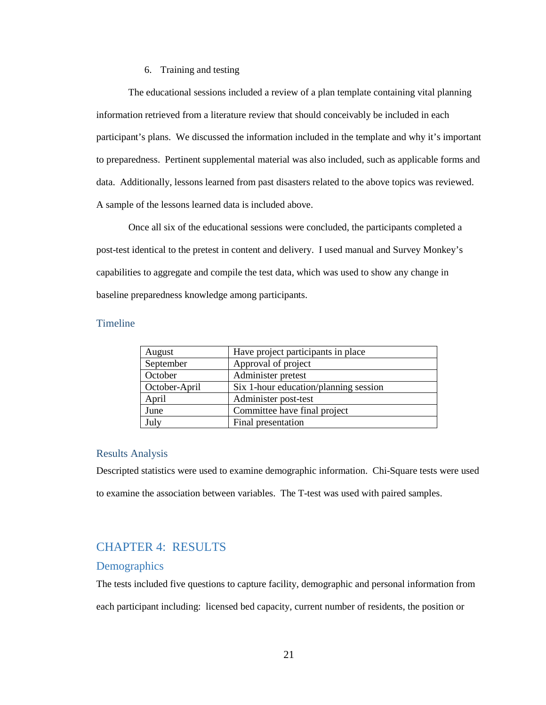#### 6. Training and testing

The educational sessions included a review of a plan template containing vital planning information retrieved from a literature review that should conceivably be included in each participant's plans. We discussed the information included in the template and why it's important to preparedness. Pertinent supplemental material was also included, such as applicable forms and data. Additionally, lessons learned from past disasters related to the above topics was reviewed. A sample of the lessons learned data is included above.

Once all six of the educational sessions were concluded, the participants completed a post-test identical to the pretest in content and delivery. I used manual and Survey Monkey's capabilities to aggregate and compile the test data, which was used to show any change in baseline preparedness knowledge among participants.

### <span id="page-22-0"></span>**Timeline**

| August        | Have project participants in place    |  |
|---------------|---------------------------------------|--|
| September     | Approval of project                   |  |
| October       | Administer pretest                    |  |
| October-April | Six 1-hour education/planning session |  |
| April         | Administer post-test                  |  |
| June          | Committee have final project          |  |
| July          | Final presentation                    |  |

#### <span id="page-22-1"></span>Results Analysis

Descripted statistics were used to examine demographic information. Chi-Square tests were used to examine the association between variables. The T-test was used with paired samples.

## <span id="page-22-2"></span>CHAPTER 4: RESULTS

#### <span id="page-22-3"></span>**Demographics**

The tests included five questions to capture facility, demographic and personal information from each participant including: licensed bed capacity, current number of residents, the position or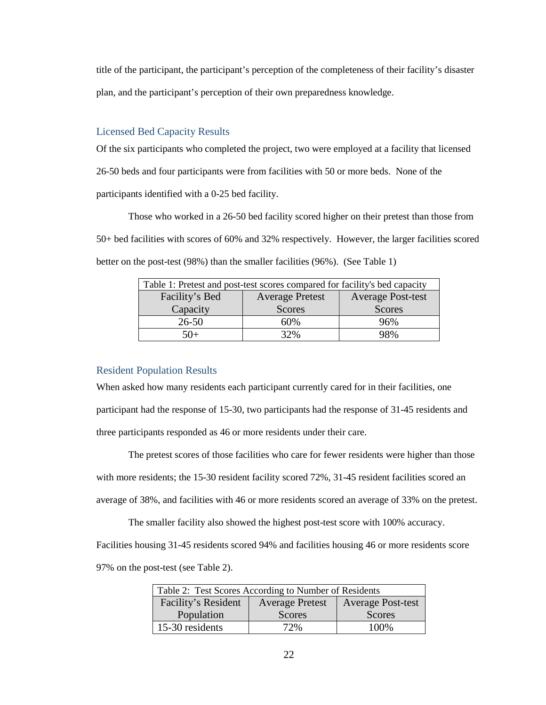title of the participant, the participant's perception of the completeness of their facility's disaster plan, and the participant's perception of their own preparedness knowledge.

#### <span id="page-23-0"></span>Licensed Bed Capacity Results

Of the six participants who completed the project, two were employed at a facility that licensed 26-50 beds and four participants were from facilities with 50 or more beds. None of the participants identified with a 0-25 bed facility.

Those who worked in a 26-50 bed facility scored higher on their pretest than those from 50+ bed facilities with scores of 60% and 32% respectively. However, the larger facilities scored better on the post-test (98%) than the smaller facilities (96%). (See Table 1)

<span id="page-23-2"></span>

| Table 1: Pretest and post-test scores compared for facility's bed capacity |                          |               |  |
|----------------------------------------------------------------------------|--------------------------|---------------|--|
| Facility's Bed                                                             | <b>Average Post-test</b> |               |  |
| Capacity                                                                   | <b>Scores</b>            | <b>Scores</b> |  |
| $26 - 50$                                                                  | 60%                      | 96%           |  |
| 50+                                                                        | 32%                      | 98%           |  |

#### <span id="page-23-1"></span>Resident Population Results

When asked how many residents each participant currently cared for in their facilities, one participant had the response of 15-30, two participants had the response of 31-45 residents and three participants responded as 46 or more residents under their care.

The pretest scores of those facilities who care for fewer residents were higher than those with more residents; the 15-30 resident facility scored 72%, 31-45 resident facilities scored an average of 38%, and facilities with 46 or more residents scored an average of 33% on the pretest.

The smaller facility also showed the highest post-test score with 100% accuracy. Facilities housing 31-45 residents scored 94% and facilities housing 46 or more residents score 97% on the post-test (see Table 2).

<span id="page-23-3"></span>

| Table 2: Test Scores According to Number of Residents                     |               |               |  |  |
|---------------------------------------------------------------------------|---------------|---------------|--|--|
| Facility's Resident<br><b>Average Post-test</b><br><b>Average Pretest</b> |               |               |  |  |
| Population                                                                | <b>Scores</b> | <b>Scores</b> |  |  |
| 15-30 residents                                                           | 72%           | 100\%         |  |  |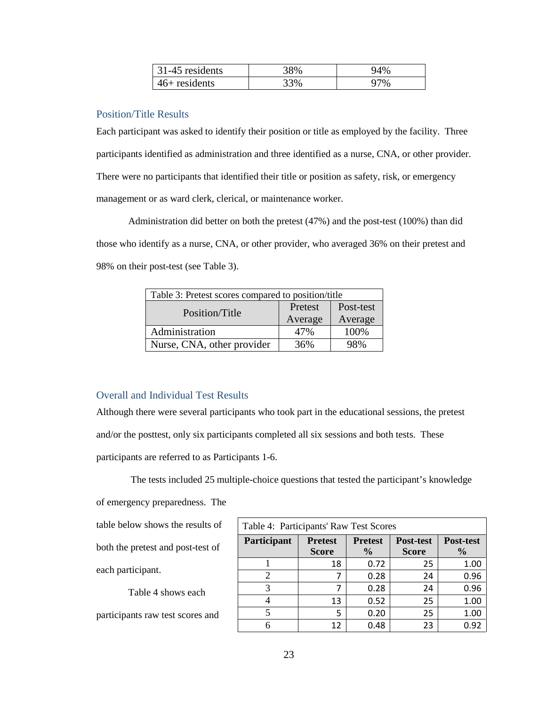| 31-45 residents | 8%  |    |
|-----------------|-----|----|
| $46+$ residents | 33% | 7% |

#### <span id="page-24-0"></span>Position/Title Results

Each participant was asked to identify their position or title as employed by the facility. Three participants identified as administration and three identified as a nurse, CNA, or other provider. There were no participants that identified their title or position as safety, risk, or emergency management or as ward clerk, clerical, or maintenance worker.

Administration did better on both the pretest (47%) and the post-test (100%) than did those who identify as a nurse, CNA, or other provider, who averaged 36% on their pretest and 98% on their post-test (see Table 3).

<span id="page-24-2"></span>

| Table 3: Pretest scores compared to position/title |         |           |  |
|----------------------------------------------------|---------|-----------|--|
| Position/Title                                     | Pretest | Post-test |  |
|                                                    | Average | Average   |  |
| Administration                                     | 47%     | 100%      |  |
| Nurse, CNA, other provider                         | 36%     | 98%       |  |

#### <span id="page-24-1"></span>Overall and Individual Test Results

Although there were several participants who took part in the educational sessions, the pretest and/or the posttest, only six participants completed all six sessions and both tests. These participants are referred to as Participants 1-6.

The tests included 25 multiple-choice questions that tested the participant's knowledge

of emergency preparedness. The

table below shows the results of both the pretest and post-test of each participant.

Table 4 shows each participants raw test scores and

<span id="page-24-3"></span>

| Table 4: Participants' Raw Test Scores |                |                |              |               |
|----------------------------------------|----------------|----------------|--------------|---------------|
| Participant                            | <b>Pretest</b> | <b>Pretest</b> | Post-test    | Post-test     |
|                                        | <b>Score</b>   | $\frac{0}{0}$  | <b>Score</b> | $\frac{0}{0}$ |
|                                        | 18             | 0.72           | 25           | 1.00          |
| 2                                      |                | 0.28           | 24           | 0.96          |
|                                        |                | 0.28           | 24           | 0.96          |
|                                        | 13             | 0.52           | 25           | 1.00          |
|                                        | 5              | 0.20           | 25           | 1.00          |
|                                        | 12             | 0.48           | 23           | በ ዓን          |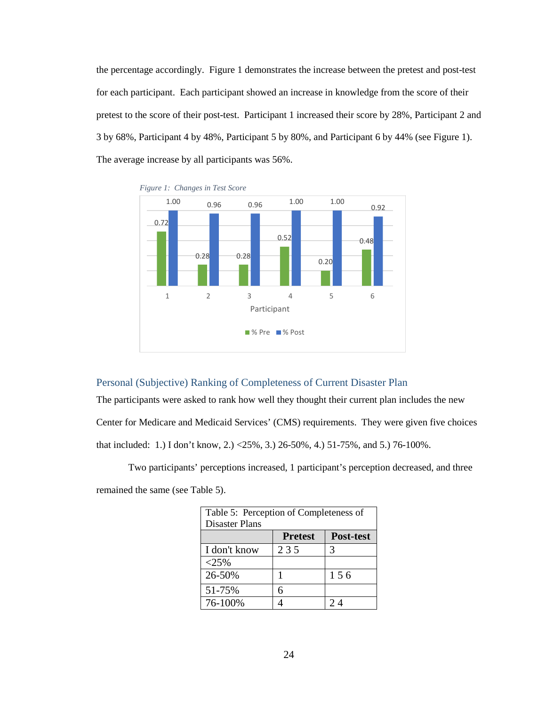the percentage accordingly. Figure 1 demonstrates the increase between the pretest and post-test for each participant. Each participant showed an increase in knowledge from the score of their pretest to the score of their post-test. Participant 1 increased their score by 28%, Participant 2 and 3 by 68%, Participant 4 by 48%, Participant 5 by 80%, and Participant 6 by 44% (see Figure 1). The average increase by all participants was 56%.





## <span id="page-25-0"></span>Personal (Subjective) Ranking of Completeness of Current Disaster Plan

The participants were asked to rank how well they thought their current plan includes the new Center for Medicare and Medicaid Services' (CMS) requirements. They were given five choices that included: 1.) I don't know, 2.) <25%, 3.) 26-50%, 4.) 51-75%, and 5.) 76-100%.

Two participants' perceptions increased, 1 participant's perception decreased, and three remained the same (see Table 5).

<span id="page-25-1"></span>

| Table 5: Perception of Completeness of |                |           |  |  |
|----------------------------------------|----------------|-----------|--|--|
| Disaster Plans                         |                |           |  |  |
|                                        | <b>Pretest</b> | Post-test |  |  |
| I don't know                           | 235            | 3         |  |  |
| $<25\%$                                |                |           |  |  |
| 26-50%                                 |                | 156       |  |  |
| 51-75%                                 | 6              |           |  |  |
| 76-100%                                |                | 2 A       |  |  |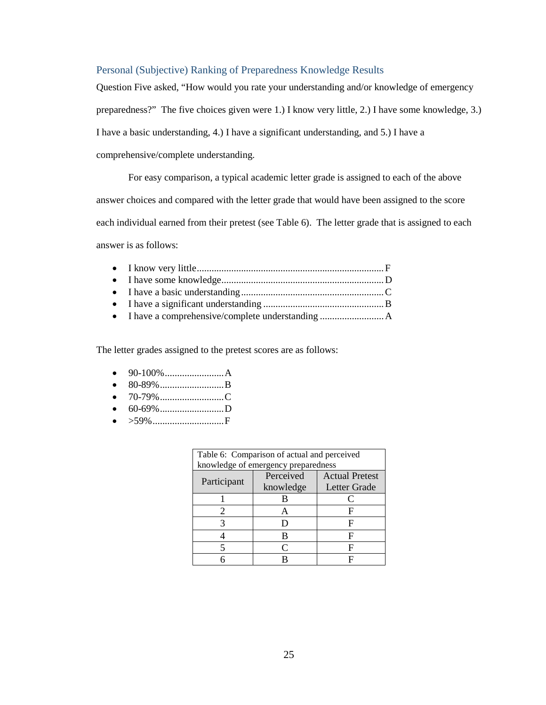## <span id="page-26-0"></span>Personal (Subjective) Ranking of Preparedness Knowledge Results

Question Five asked, "How would you rate your understanding and/or knowledge of emergency preparedness?" The five choices given were 1.) I know very little, 2.) I have some knowledge, 3.) I have a basic understanding, 4.) I have a significant understanding, and 5.) I have a comprehensive/complete understanding.

For easy comparison, a typical academic letter grade is assigned to each of the above answer choices and compared with the letter grade that would have been assigned to the score each individual earned from their pretest (see Table 6). The letter grade that is assigned to each answer is as follows:

The letter grades assigned to the pretest scores are as follows:

- 90-100%........................A
- 80-89% ..............................B
- 70-79%..........................C
- 60-69%..........................D
- >59%.............................F

| Table 6: Comparison of actual and perceived |                                     |                       |  |
|---------------------------------------------|-------------------------------------|-----------------------|--|
|                                             | knowledge of emergency preparedness |                       |  |
|                                             | Perceived                           | <b>Actual Pretest</b> |  |
| Participant                                 | knowledge                           | Letter Grade          |  |
|                                             |                                     |                       |  |
|                                             |                                     |                       |  |
|                                             |                                     |                       |  |
|                                             | R                                   |                       |  |
|                                             | ⊂                                   |                       |  |
|                                             |                                     |                       |  |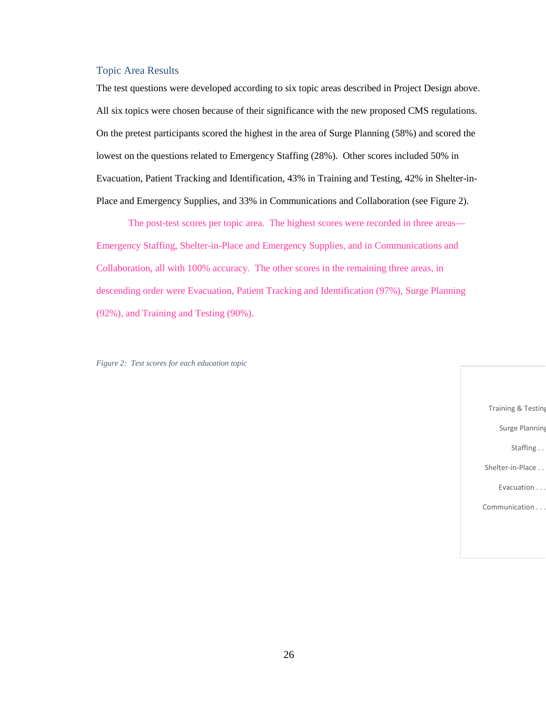#### <span id="page-27-0"></span>Topic Area Results

The test questions were developed according to six topic areas described in Project Design above. All six topics were chosen because of their significance with the new proposed CMS regulations. On the pretest participants scored the highest in the area of Surge Planning (58%) and scored the lowest on the questions related to Emergency Staffing (28%). Other scores included 50% in Evacuation, Patient Tracking and Identification, 43% in Training and Testing, 42% in Shelter-in-Place and Emergency Supplies, and 33% in Communications and Collaboration (see Figure 2).

The post-test scores per topic area. The highest scores were recorded in three areas— Emergency Staffing, Shelter-in-Place and Emergency Supplies, and in Communications and Collaboration, all with 100% accuracy. The other scores in the remaining three areas, in descending order were Evacuation, Patient Tracking and Identification (97%), Surge Planning (92%), and Training and Testing (90%).

*Figure 2: Test scores for each education topic*

Training & Testing

Surge Planning

Staffing . .

Shelter-in-Place . .

Evacuation . . .

Communication . . .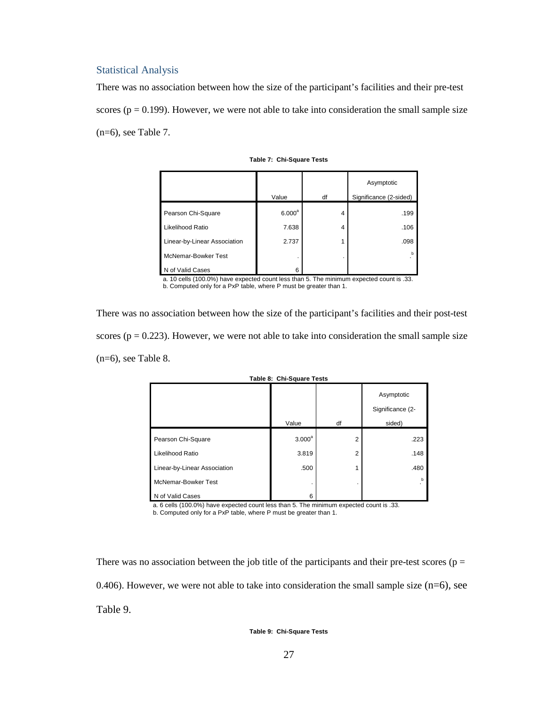#### <span id="page-28-0"></span>Statistical Analysis

There was no association between how the size of the participant's facilities and their pre-test scores ( $p = 0.199$ ). However, we were not able to take into consideration the small sample size (n=6), see Table 7.

|                              |                 |    | Asymptotic             |
|------------------------------|-----------------|----|------------------------|
|                              | Value           | df | Significance (2-sided) |
| Pearson Chi-Square           | $6.000^{\rm a}$ | 4  | .199                   |
| Likelihood Ratio             | 7.638           | 4  | .106                   |
| Linear-by-Linear Association | 2.737           |    | .098                   |
| McNemar-Bowker Test          | ۰               | ٠  | h                      |
| of Valid Cases               | 6               |    |                        |

**Table 7: Chi-Square Tests**

a. 10 cells (100.0%) have expected count less than 5. The minimum expected count is .33.

b. Computed only for a PxP table, where P must be greater than 1.

There was no association between how the size of the participant's facilities and their post-test scores ( $p = 0.223$ ). However, we were not able to take into consideration the small sample size (n=6), see Table 8.

|                              |                    |    | Asymptotic                 |
|------------------------------|--------------------|----|----------------------------|
|                              | Value              | df | Significance (2-<br>sided) |
| Pearson Chi-Square           | 3.000 <sup>a</sup> | 2  | .223                       |
| Likelihood Ratio             | 3.819              | 2  | .148                       |
| Linear-by-Linear Association | .500               |    | .480                       |
| McNemar-Bowker Test          |                    |    | b<br>٠                     |
| N of Valid Cases             | 6                  |    |                            |

**Table 8: Chi-Square Tests**

a. 6 cells (100.0%) have expected count less than 5. The minimum expected count is .33. b. Computed only for a PxP table, where P must be greater than 1.

There was no association between the job title of the participants and their pre-test scores ( $p =$ 0.406). However, we were not able to take into consideration the small sample size  $(n=6)$ , see Table 9.

**Table 9: Chi-Square Tests**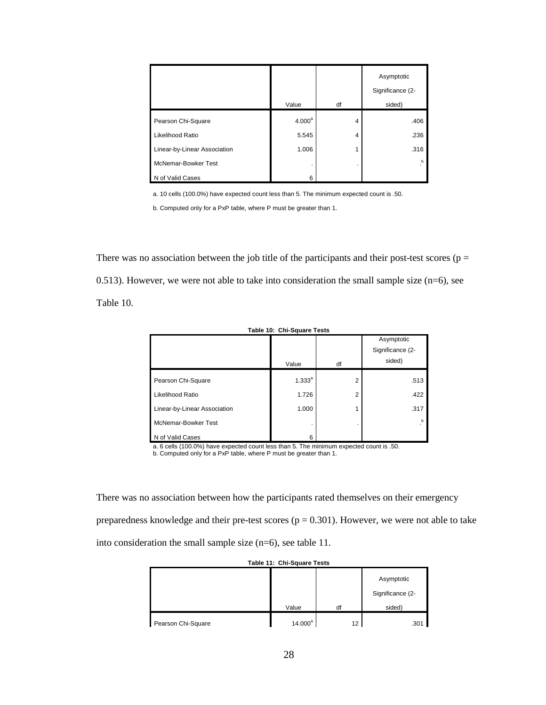|                              |                    |    | Asymptotic<br>Significance (2- |
|------------------------------|--------------------|----|--------------------------------|
|                              | Value              | df | sided)                         |
| Pearson Chi-Square           | 4.000 <sup>a</sup> | 4  | .406                           |
| Likelihood Ratio             | 5.545              | 4  | .236                           |
| Linear-by-Linear Association | 1.006              | 1  | .316                           |
| McNemar-Bowker Test          | ٠                  | ٠  | h                              |
| N of Valid Cases             | 6                  |    |                                |

a. 10 cells (100.0%) have expected count less than 5. The minimum expected count is .50.

b. Computed only for a PxP table, where P must be greater than 1.

There was no association between the job title of the participants and their post-test scores ( $p =$ 0.513). However, we were not able to take into consideration the small sample size  $(n=6)$ , see Table 10.

| Table 10: Chi-Square Tests   |             |    |                  |
|------------------------------|-------------|----|------------------|
|                              |             |    | Asymptotic       |
|                              |             |    | Significance (2- |
|                              | Value       | df | sided)           |
| Pearson Chi-Square           | $1.333^{a}$ | 2  | .513             |
| Likelihood Ratio             | 1.726       | 2  | .422             |
| Linear-by-Linear Association | 1.000       |    | .317             |
| McNemar-Bowker Test          |             |    | b.               |
| N of Valid Cases             | 6           |    |                  |

a. 6 cells (100.0%) have expected count less than 5. The minimum expected count is .50. b. Computed only for a PxP table, where P must be greater than 1.

There was no association between how the participants rated themselves on their emergency preparedness knowledge and their pre-test scores ( $p = 0.301$ ). However, we were not able to take into consideration the small sample size (n=6), see table 11.

|  | Table 11: Chi-Square Tests |  |  |
|--|----------------------------|--|--|
|  |                            |  |  |
|  |                            |  |  |

|                    |            |                 | Asymptotic       |
|--------------------|------------|-----------------|------------------|
|                    |            |                 | Significance (2- |
|                    | Value      | df              | sided)           |
| Pearson Chi-Square | $14.000^a$ | 12 <sup>2</sup> | .301             |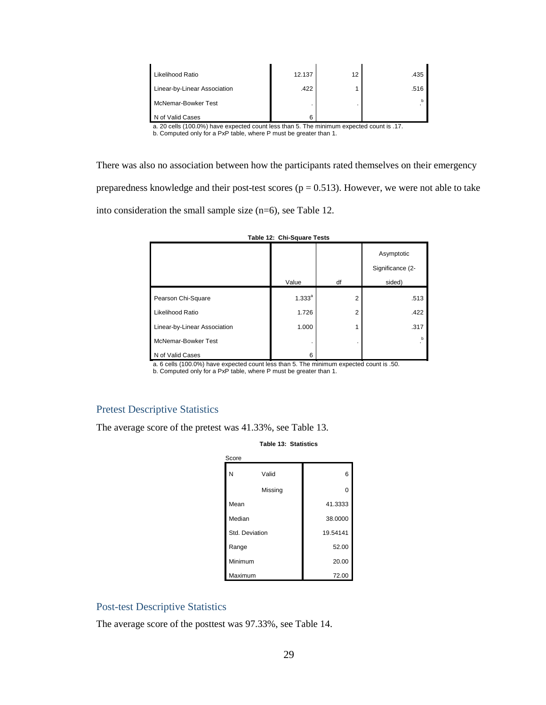| Likelihood Ratio                                       | 12.137        | 12 | .435                           |
|--------------------------------------------------------|---------------|----|--------------------------------|
| Linear-by-Linear Association                           | .422          |    | .516                           |
| McNemar-Bowker Test                                    |               |    |                                |
| of Valid Cases<br>.<br>$\sim$ $\sim$<br>$\sim$<br>$ -$ | $\sim$ $\sim$ |    | $\sim$ $\sim$<br>$\sim$ $\sim$ |

a. 20 cells (100.0%) have expected count less than 5. The minimum expected count is .17. b. Computed only for a PxP table, where P must be greater than 1.

There was also no association between how the participants rated themselves on their emergency preparedness knowledge and their post-test scores ( $p = 0.513$ ). However, we were not able to take into consideration the small sample size (n=6), see Table 12.

| Table 12: Chi-Square Tests   |             |    |                                |
|------------------------------|-------------|----|--------------------------------|
|                              |             |    | Asymptotic<br>Significance (2- |
|                              | Value       | df | sided)                         |
| Pearson Chi-Square           | $1.333^{a}$ | 2  | .513                           |
| Likelihood Ratio             | 1.726       | 2  | .422                           |
| Linear-by-Linear Association | 1.000       | 1  | .317                           |
| McNemar-Bowker Test          |             |    | b                              |
| N of Valid Cases             | 6           |    |                                |

a. 6 cells (100.0%) have expected count less than 5. The minimum expected count is .50.

b. Computed only for a PxP table, where P must be greater than 1.

## <span id="page-30-0"></span>Pretest Descriptive Statistics

The average score of the pretest was 41.33%, see Table 13.

**Table 13: Statistics**

| Score          |         |          |
|----------------|---------|----------|
| N              | Valid   | 6        |
|                | Missing | 0        |
| Mean           |         | 41.3333  |
| Median         |         | 38.0000  |
| Std. Deviation |         | 19.54141 |
| Range          |         | 52.00    |
| Minimum        |         | 20.00    |
| Maximum        |         | 72.00    |

## <span id="page-30-1"></span>Post-test Descriptive Statistics

The average score of the posttest was 97.33%, see Table 14.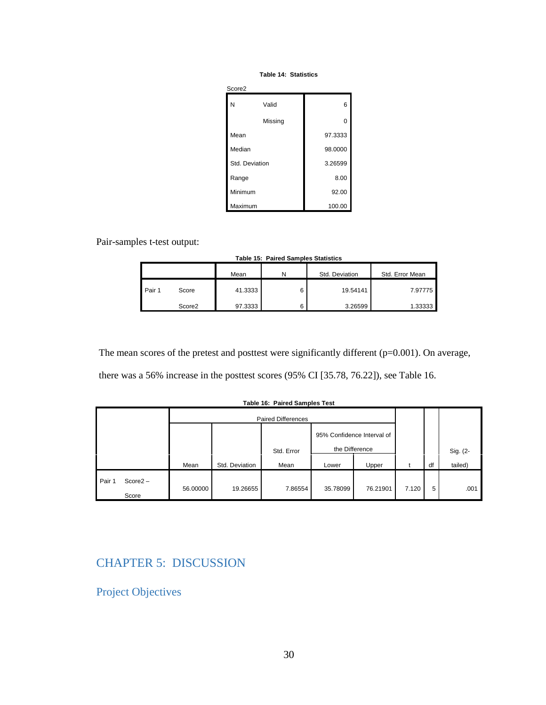#### **Table 14: Statistics**

| Score <sub>2</sub> |         |          |
|--------------------|---------|----------|
| N                  | Valid   | 6        |
|                    | Missing | $\Omega$ |
| Mean               |         | 97.3333  |
| Median             |         | 98.0000  |
| Std. Deviation     |         | 3.26599  |
| Range              |         | 8.00     |
| Minimum            |         | 92.00    |
| Maximum            |         | 100.00   |

Pair-samples t-test output:

|  |  | Table 15: Paired Samples Statistics |
|--|--|-------------------------------------|
|--|--|-------------------------------------|

|        |                    | Mean    |   | Std. Deviation | Std. Error Mean |  |
|--------|--------------------|---------|---|----------------|-----------------|--|
| Pair 1 | Score              | 41.3333 | 6 | 19.54141       | 7.97775         |  |
|        | Score <sub>2</sub> | 97.3333 | 6 | 3.26599        | 1.33333         |  |

The mean scores of the pretest and posttest were significantly different (p=0.001). On average,

there was a 56% increase in the posttest scores (95% CI [35.78, 76.22]), see Table 16.

|        |            | <b>Paired Differences</b> |                |            |                            |          |       |    |          |
|--------|------------|---------------------------|----------------|------------|----------------------------|----------|-------|----|----------|
|        |            |                           |                |            | 95% Confidence Interval of |          |       |    |          |
|        |            |                           |                | Std. Error | the Difference             |          |       |    | Sig. (2- |
|        |            | Mean                      | Std. Deviation | Mean       | Lower                      | Upper    |       | df | tailed)  |
| Pair 1 | $Score2 -$ | 56.00000                  | 19.26655       | 7.86554    | 35.78099                   | 76.21901 | 7.120 | 5  | .001     |
| Score  |            |                           |                |            |                            |          |       |    |          |

#### **Table 16: Paired Samples Test**

# <span id="page-31-0"></span>CHAPTER 5: DISCUSSION

## <span id="page-31-1"></span>Project Objectives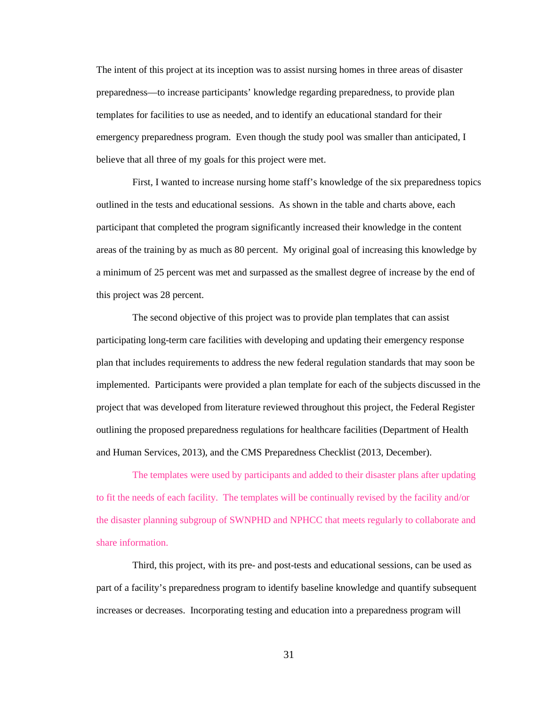The intent of this project at its inception was to assist nursing homes in three areas of disaster preparedness—to increase participants' knowledge regarding preparedness, to provide plan templates for facilities to use as needed, and to identify an educational standard for their emergency preparedness program. Even though the study pool was smaller than anticipated, I believe that all three of my goals for this project were met.

First, I wanted to increase nursing home staff's knowledge of the six preparedness topics outlined in the tests and educational sessions. As shown in the table and charts above, each participant that completed the program significantly increased their knowledge in the content areas of the training by as much as 80 percent. My original goal of increasing this knowledge by a minimum of 25 percent was met and surpassed as the smallest degree of increase by the end of this project was 28 percent.

The second objective of this project was to provide plan templates that can assist participating long-term care facilities with developing and updating their emergency response plan that includes requirements to address the new federal regulation standards that may soon be implemented. Participants were provided a plan template for each of the subjects discussed in the project that was developed from literature reviewed throughout this project, the Federal Register outlining the proposed preparedness regulations for healthcare facilities (Department of Health and Human Services, 2013), and the CMS Preparedness Checklist (2013, December).

The templates were used by participants and added to their disaster plans after updating to fit the needs of each facility. The templates will be continually revised by the facility and/or the disaster planning subgroup of SWNPHD and NPHCC that meets regularly to collaborate and share information.

Third, this project, with its pre- and post-tests and educational sessions, can be used as part of a facility's preparedness program to identify baseline knowledge and quantify subsequent increases or decreases. Incorporating testing and education into a preparedness program will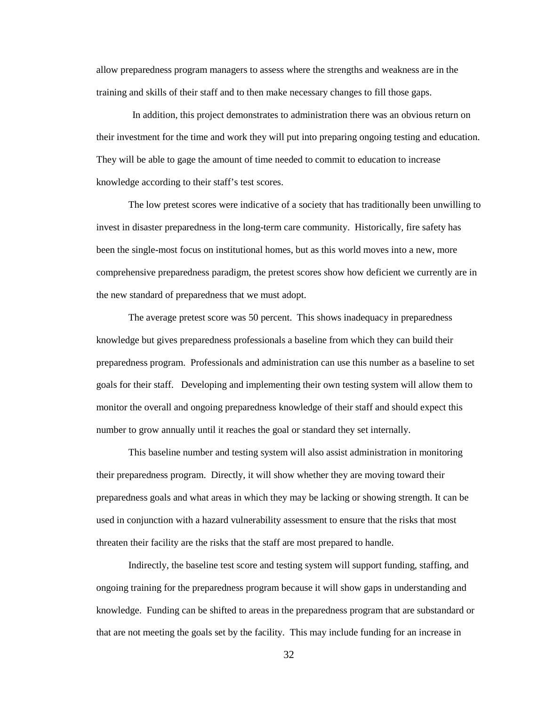allow preparedness program managers to assess where the strengths and weakness are in the training and skills of their staff and to then make necessary changes to fill those gaps.

In addition, this project demonstrates to administration there was an obvious return on their investment for the time and work they will put into preparing ongoing testing and education. They will be able to gage the amount of time needed to commit to education to increase knowledge according to their staff's test scores.

The low pretest scores were indicative of a society that has traditionally been unwilling to invest in disaster preparedness in the long-term care community. Historically, fire safety has been the single-most focus on institutional homes, but as this world moves into a new, more comprehensive preparedness paradigm, the pretest scores show how deficient we currently are in the new standard of preparedness that we must adopt.

The average pretest score was 50 percent. This shows inadequacy in preparedness knowledge but gives preparedness professionals a baseline from which they can build their preparedness program. Professionals and administration can use this number as a baseline to set goals for their staff. Developing and implementing their own testing system will allow them to monitor the overall and ongoing preparedness knowledge of their staff and should expect this number to grow annually until it reaches the goal or standard they set internally.

This baseline number and testing system will also assist administration in monitoring their preparedness program. Directly, it will show whether they are moving toward their preparedness goals and what areas in which they may be lacking or showing strength. It can be used in conjunction with a hazard vulnerability assessment to ensure that the risks that most threaten their facility are the risks that the staff are most prepared to handle.

Indirectly, the baseline test score and testing system will support funding, staffing, and ongoing training for the preparedness program because it will show gaps in understanding and knowledge. Funding can be shifted to areas in the preparedness program that are substandard or that are not meeting the goals set by the facility. This may include funding for an increase in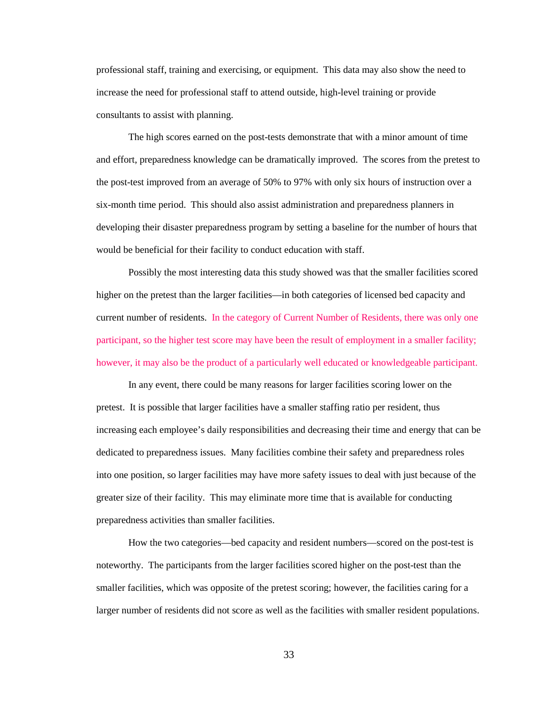professional staff, training and exercising, or equipment. This data may also show the need to increase the need for professional staff to attend outside, high-level training or provide consultants to assist with planning.

The high scores earned on the post-tests demonstrate that with a minor amount of time and effort, preparedness knowledge can be dramatically improved. The scores from the pretest to the post-test improved from an average of 50% to 97% with only six hours of instruction over a six-month time period. This should also assist administration and preparedness planners in developing their disaster preparedness program by setting a baseline for the number of hours that would be beneficial for their facility to conduct education with staff.

Possibly the most interesting data this study showed was that the smaller facilities scored higher on the pretest than the larger facilities—in both categories of licensed bed capacity and current number of residents. In the category of Current Number of Residents, there was only one participant, so the higher test score may have been the result of employment in a smaller facility; however, it may also be the product of a particularly well educated or knowledgeable participant.

In any event, there could be many reasons for larger facilities scoring lower on the pretest. It is possible that larger facilities have a smaller staffing ratio per resident, thus increasing each employee's daily responsibilities and decreasing their time and energy that can be dedicated to preparedness issues. Many facilities combine their safety and preparedness roles into one position, so larger facilities may have more safety issues to deal with just because of the greater size of their facility. This may eliminate more time that is available for conducting preparedness activities than smaller facilities.

How the two categories—bed capacity and resident numbers—scored on the post-test is noteworthy. The participants from the larger facilities scored higher on the post-test than the smaller facilities, which was opposite of the pretest scoring; however, the facilities caring for a larger number of residents did not score as well as the facilities with smaller resident populations.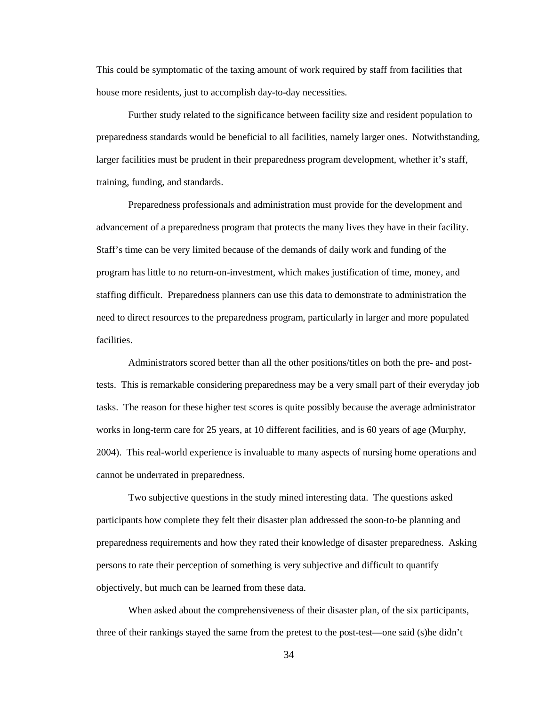This could be symptomatic of the taxing amount of work required by staff from facilities that house more residents, just to accomplish day-to-day necessities.

Further study related to the significance between facility size and resident population to preparedness standards would be beneficial to all facilities, namely larger ones. Notwithstanding, larger facilities must be prudent in their preparedness program development, whether it's staff, training, funding, and standards.

Preparedness professionals and administration must provide for the development and advancement of a preparedness program that protects the many lives they have in their facility. Staff's time can be very limited because of the demands of daily work and funding of the program has little to no return-on-investment, which makes justification of time, money, and staffing difficult. Preparedness planners can use this data to demonstrate to administration the need to direct resources to the preparedness program, particularly in larger and more populated facilities.

Administrators scored better than all the other positions/titles on both the pre- and posttests. This is remarkable considering preparedness may be a very small part of their everyday job tasks. The reason for these higher test scores is quite possibly because the average administrator works in long-term care for 25 years, at 10 different facilities, and is 60 years of age (Murphy, 2004). This real-world experience is invaluable to many aspects of nursing home operations and cannot be underrated in preparedness.

Two subjective questions in the study mined interesting data. The questions asked participants how complete they felt their disaster plan addressed the soon-to-be planning and preparedness requirements and how they rated their knowledge of disaster preparedness. Asking persons to rate their perception of something is very subjective and difficult to quantify objectively, but much can be learned from these data.

When asked about the comprehensiveness of their disaster plan, of the six participants, three of their rankings stayed the same from the pretest to the post-test—one said (s)he didn't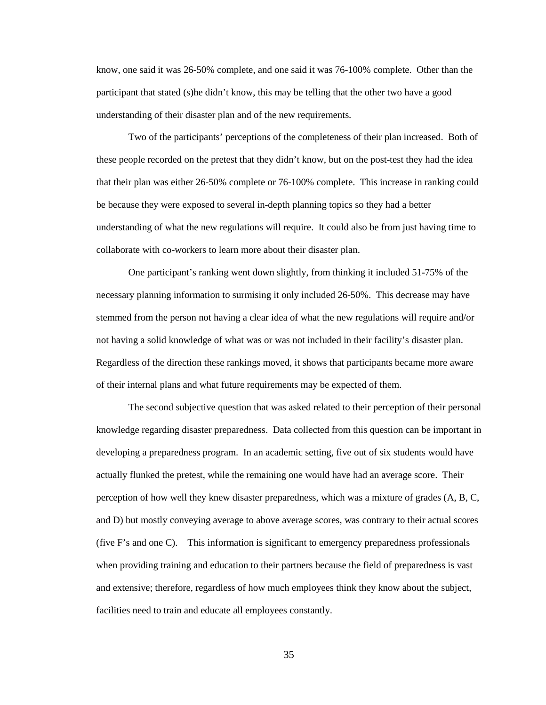know, one said it was 26-50% complete, and one said it was 76-100% complete. Other than the participant that stated (s)he didn't know, this may be telling that the other two have a good understanding of their disaster plan and of the new requirements.

Two of the participants' perceptions of the completeness of their plan increased. Both of these people recorded on the pretest that they didn't know, but on the post-test they had the idea that their plan was either 26-50% complete or 76-100% complete. This increase in ranking could be because they were exposed to several in-depth planning topics so they had a better understanding of what the new regulations will require. It could also be from just having time to collaborate with co-workers to learn more about their disaster plan.

One participant's ranking went down slightly, from thinking it included 51-75% of the necessary planning information to surmising it only included 26-50%. This decrease may have stemmed from the person not having a clear idea of what the new regulations will require and/or not having a solid knowledge of what was or was not included in their facility's disaster plan. Regardless of the direction these rankings moved, it shows that participants became more aware of their internal plans and what future requirements may be expected of them.

The second subjective question that was asked related to their perception of their personal knowledge regarding disaster preparedness. Data collected from this question can be important in developing a preparedness program. In an academic setting, five out of six students would have actually flunked the pretest, while the remaining one would have had an average score. Their perception of how well they knew disaster preparedness, which was a mixture of grades (A, B, C, and D) but mostly conveying average to above average scores, was contrary to their actual scores (five F's and one C). This information is significant to emergency preparedness professionals when providing training and education to their partners because the field of preparedness is vast and extensive; therefore, regardless of how much employees think they know about the subject, facilities need to train and educate all employees constantly.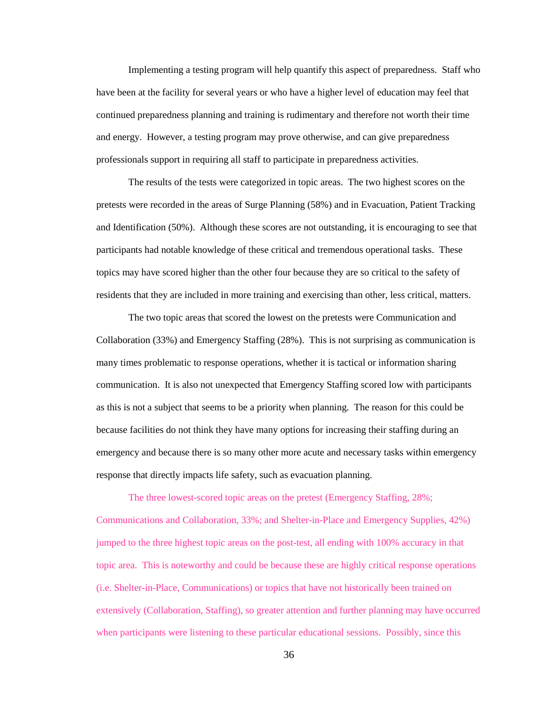Implementing a testing program will help quantify this aspect of preparedness. Staff who have been at the facility for several years or who have a higher level of education may feel that continued preparedness planning and training is rudimentary and therefore not worth their time and energy. However, a testing program may prove otherwise, and can give preparedness professionals support in requiring all staff to participate in preparedness activities.

The results of the tests were categorized in topic areas. The two highest scores on the pretests were recorded in the areas of Surge Planning (58%) and in Evacuation, Patient Tracking and Identification (50%). Although these scores are not outstanding, it is encouraging to see that participants had notable knowledge of these critical and tremendous operational tasks. These topics may have scored higher than the other four because they are so critical to the safety of residents that they are included in more training and exercising than other, less critical, matters.

The two topic areas that scored the lowest on the pretests were Communication and Collaboration (33%) and Emergency Staffing (28%). This is not surprising as communication is many times problematic to response operations, whether it is tactical or information sharing communication. It is also not unexpected that Emergency Staffing scored low with participants as this is not a subject that seems to be a priority when planning. The reason for this could be because facilities do not think they have many options for increasing their staffing during an emergency and because there is so many other more acute and necessary tasks within emergency response that directly impacts life safety, such as evacuation planning.

The three lowest-scored topic areas on the pretest (Emergency Staffing, 28%; Communications and Collaboration, 33%; and Shelter-in-Place and Emergency Supplies, 42%) jumped to the three highest topic areas on the post-test, all ending with 100% accuracy in that topic area. This is noteworthy and could be because these are highly critical response operations (i.e. Shelter-in-Place, Communications) or topics that have not historically been trained on extensively (Collaboration, Staffing), so greater attention and further planning may have occurred when participants were listening to these particular educational sessions. Possibly, since this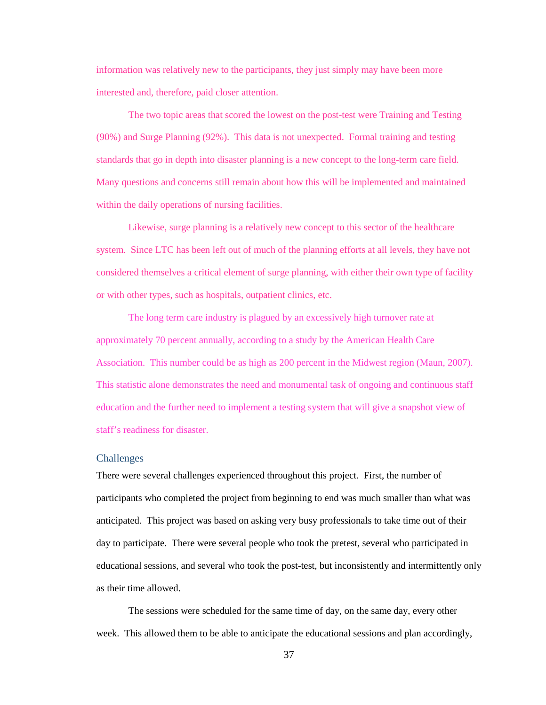information was relatively new to the participants, they just simply may have been more interested and, therefore, paid closer attention.

The two topic areas that scored the lowest on the post-test were Training and Testing (90%) and Surge Planning (92%). This data is not unexpected. Formal training and testing standards that go in depth into disaster planning is a new concept to the long-term care field. Many questions and concerns still remain about how this will be implemented and maintained within the daily operations of nursing facilities.

Likewise, surge planning is a relatively new concept to this sector of the healthcare system. Since LTC has been left out of much of the planning efforts at all levels, they have not considered themselves a critical element of surge planning, with either their own type of facility or with other types, such as hospitals, outpatient clinics, etc.

The long term care industry is plagued by an excessively high turnover rate at approximately 70 percent annually, according to a study by the American Health Care Association. This number could be as high as 200 percent in the Midwest region (Maun, 2007). This statistic alone demonstrates the need and monumental task of ongoing and continuous staff education and the further need to implement a testing system that will give a snapshot view of staff's readiness for disaster.

#### <span id="page-38-0"></span>Challenges

There were several challenges experienced throughout this project. First, the number of participants who completed the project from beginning to end was much smaller than what was anticipated. This project was based on asking very busy professionals to take time out of their day to participate. There were several people who took the pretest, several who participated in educational sessions, and several who took the post-test, but inconsistently and intermittently only as their time allowed.

The sessions were scheduled for the same time of day, on the same day, every other week. This allowed them to be able to anticipate the educational sessions and plan accordingly,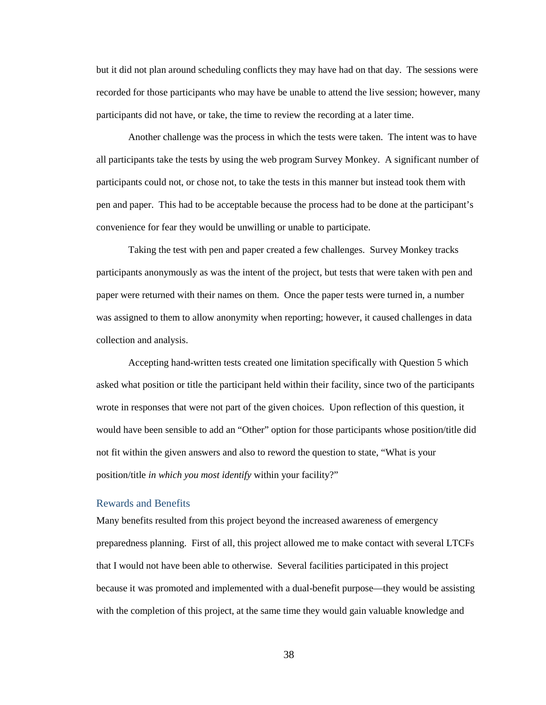but it did not plan around scheduling conflicts they may have had on that day. The sessions were recorded for those participants who may have be unable to attend the live session; however, many participants did not have, or take, the time to review the recording at a later time.

Another challenge was the process in which the tests were taken. The intent was to have all participants take the tests by using the web program Survey Monkey. A significant number of participants could not, or chose not, to take the tests in this manner but instead took them with pen and paper. This had to be acceptable because the process had to be done at the participant's convenience for fear they would be unwilling or unable to participate.

Taking the test with pen and paper created a few challenges. Survey Monkey tracks participants anonymously as was the intent of the project, but tests that were taken with pen and paper were returned with their names on them. Once the paper tests were turned in, a number was assigned to them to allow anonymity when reporting; however, it caused challenges in data collection and analysis.

Accepting hand-written tests created one limitation specifically with Question 5 which asked what position or title the participant held within their facility, since two of the participants wrote in responses that were not part of the given choices. Upon reflection of this question, it would have been sensible to add an "Other" option for those participants whose position/title did not fit within the given answers and also to reword the question to state, "What is your position/title *in which you most identify* within your facility?"

#### <span id="page-39-0"></span>Rewards and Benefits

Many benefits resulted from this project beyond the increased awareness of emergency preparedness planning. First of all, this project allowed me to make contact with several LTCFs that I would not have been able to otherwise. Several facilities participated in this project because it was promoted and implemented with a dual-benefit purpose—they would be assisting with the completion of this project, at the same time they would gain valuable knowledge and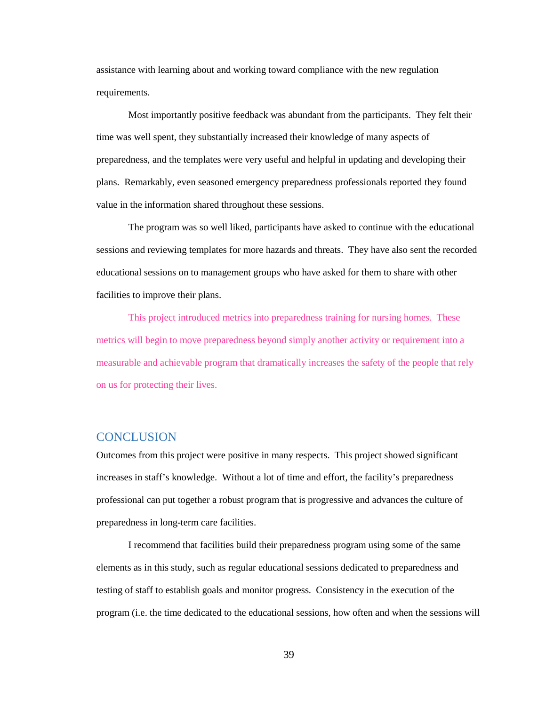assistance with learning about and working toward compliance with the new regulation requirements.

Most importantly positive feedback was abundant from the participants. They felt their time was well spent, they substantially increased their knowledge of many aspects of preparedness, and the templates were very useful and helpful in updating and developing their plans. Remarkably, even seasoned emergency preparedness professionals reported they found value in the information shared throughout these sessions.

The program was so well liked, participants have asked to continue with the educational sessions and reviewing templates for more hazards and threats. They have also sent the recorded educational sessions on to management groups who have asked for them to share with other facilities to improve their plans.

This project introduced metrics into preparedness training for nursing homes. These metrics will begin to move preparedness beyond simply another activity or requirement into a measurable and achievable program that dramatically increases the safety of the people that rely on us for protecting their lives.

## <span id="page-40-0"></span>**CONCLUSION**

Outcomes from this project were positive in many respects. This project showed significant increases in staff's knowledge. Without a lot of time and effort, the facility's preparedness professional can put together a robust program that is progressive and advances the culture of preparedness in long-term care facilities.

I recommend that facilities build their preparedness program using some of the same elements as in this study, such as regular educational sessions dedicated to preparedness and testing of staff to establish goals and monitor progress. Consistency in the execution of the program (i.e. the time dedicated to the educational sessions, how often and when the sessions will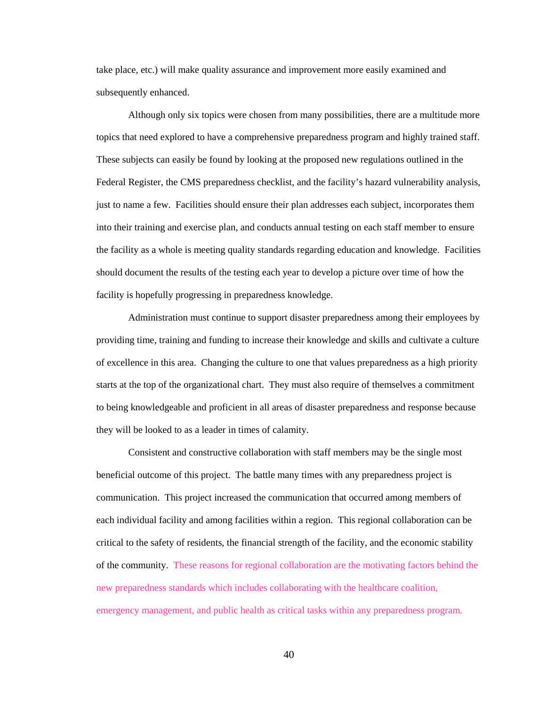take place, etc.) will make quality assurance and improvement more easily examined and subsequently enhanced.

Although only six topics were chosen from many possibilities, there are a multitude more topics that need explored to have a comprehensive preparedness program and highly trained staff. These subjects can easily be found by looking at the proposed new regulations outlined in the Federal Register, the CMS preparedness checklist, and the facility's hazard vulnerability analysis, just to name a few. Facilities should ensure their plan addresses each subject, incorporates them into their training and exercise plan, and conducts annual testing on each staff member to ensure the facility as a whole is meeting quality standards regarding education and knowledge. Facilities should document the results of the testing each year to develop a picture over time of how the facility is hopefully progressing in preparedness knowledge.

Administration must continue to support disaster preparedness among their employees by providing time, training and funding to increase their knowledge and skills and cultivate a culture of excellence in this area. Changing the culture to one that values preparedness as a high priority starts at the top of the organizational chart. They must also require of themselves a commitment to being knowledgeable and proficient in all areas of disaster preparedness and response because they will be looked to as a leader in times of calamity.

Consistent and constructive collaboration with staff members may be the single most beneficial outcome of this project. The battle many times with any preparedness project is communication. This project increased the communication that occurred among members of each individual facility and among facilities within a region. This regional collaboration can be critical to the safety of residents, the financial strength of the facility, and the economic stability of the community. These reasons for regional collaboration are the motivating factors behind the new preparedness standards which includes collaborating with the healthcare coalition, emergency management, and public health as critical tasks within any preparedness program.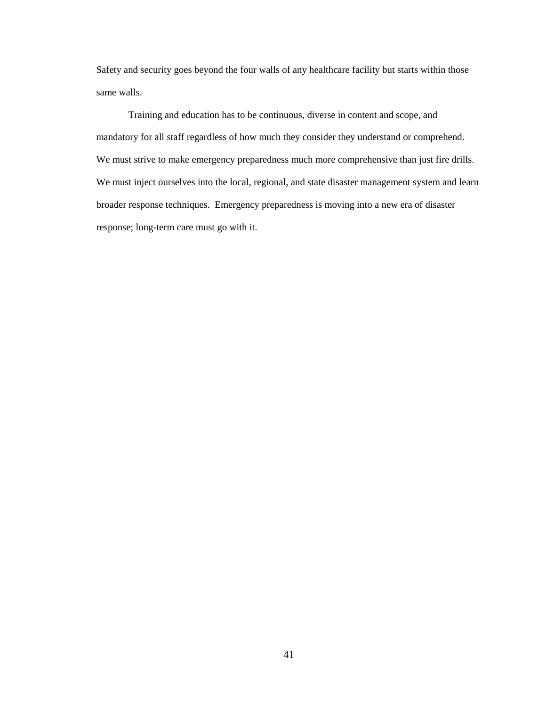Safety and security goes beyond the four walls of any healthcare facility but starts within those same walls.

Training and education has to be continuous, diverse in content and scope, and mandatory for all staff regardless of how much they consider they understand or comprehend. We must strive to make emergency preparedness much more comprehensive than just fire drills. We must inject ourselves into the local, regional, and state disaster management system and learn broader response techniques. Emergency preparedness is moving into a new era of disaster response; long-term care must go with it.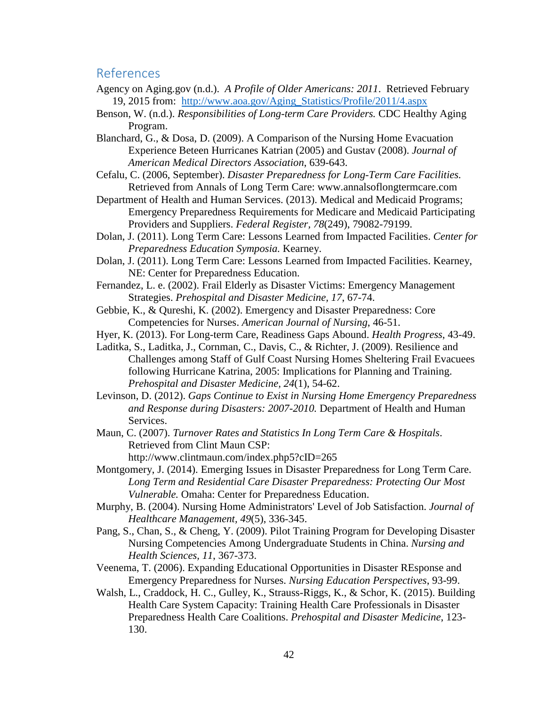## <span id="page-43-0"></span>References

- Agency on Aging.gov (n.d.). *A Profile of Older Americans: 2011*. Retrieved February 19, 2015 from: [http://www.aoa.gov/Aging\\_Statistics/Profile/2011/4.aspx](http://www.aoa.gov/Aging_Statistics/Profile/2011/4.aspx)
- Benson, W. (n.d.). *Responsibilities of Long-term Care Providers.* CDC Healthy Aging Program.
- Blanchard, G., & Dosa, D. (2009). A Comparison of the Nursing Home Evacuation Experience Beteen Hurricanes Katrian (2005) and Gustav (2008). *Journal of American Medical Directors Association*, 639-643.
- Cefalu, C. (2006, September). *Disaster Preparedness for Long-Term Care Facilities.* Retrieved from Annals of Long Term Care: www.annalsoflongtermcare.com
- Department of Health and Human Services. (2013). Medical and Medicaid Programs; Emergency Preparedness Requirements for Medicare and Medicaid Participating Providers and Suppliers. *Federal Register, 78*(249), 79082-79199.
- Dolan, J. (2011). Long Term Care: Lessons Learned from Impacted Facilities. *Center for Preparedness Education Symposia.* Kearney.
- Dolan, J. (2011). Long Term Care: Lessons Learned from Impacted Facilities. Kearney, NE: Center for Preparedness Education.
- Fernandez, L. e. (2002). Frail Elderly as Disaster Victims: Emergency Management Strategies. *Prehospital and Disaster Medicine, 17*, 67-74.
- Gebbie, K., & Qureshi, K. (2002). Emergency and Disaster Preparedness: Core Competencies for Nurses. *American Journal of Nursing*, 46-51.
- Hyer, K. (2013). For Long-term Care, Readiness Gaps Abound. *Health Progress*, 43-49.
- Laditka, S., Laditka, J., Cornman, C., Davis, C., & Richter, J. (2009). Resilience and Challenges among Staff of Gulf Coast Nursing Homes Sheltering Frail Evacuees following Hurricane Katrina, 2005: Implications for Planning and Training. *Prehospital and Disaster Medicine, 24*(1), 54-62.
- Levinson, D. (2012). *Gaps Continue to Exist in Nursing Home Emergency Preparedness and Response during Disasters: 2007-2010.* Department of Health and Human Services.
- Maun, C. (2007). *Turnover Rates and Statistics In Long Term Care & Hospitals*. Retrieved from Clint Maun CSP: http://www.clintmaun.com/index.php5?cID=265
- Montgomery, J. (2014). Emerging Issues in Disaster Preparedness for Long Term Care. *Long Term and Residential Care Disaster Preparedness: Protecting Our Most Vulnerable.* Omaha: Center for Preparedness Education.
- Murphy, B. (2004). Nursing Home Administrators' Level of Job Satisfaction. *Journal of Healthcare Management, 49*(5), 336-345.
- Pang, S., Chan, S., & Cheng, Y. (2009). Pilot Training Program for Developing Disaster Nursing Competencies Among Undergraduate Students in China. *Nursing and Health Sciences, 11*, 367-373.
- Veenema, T. (2006). Expanding Educational Opportunities in Disaster REsponse and Emergency Preparedness for Nurses. *Nursing Education Perspectives*, 93-99.
- Walsh, L., Craddock, H. C., Gulley, K., Strauss-Riggs, K., & Schor, K. (2015). Building Health Care System Capacity: Training Health Care Professionals in Disaster Preparedness Health Care Coalitions. *Prehospital and Disaster Medicine*, 123- 130.